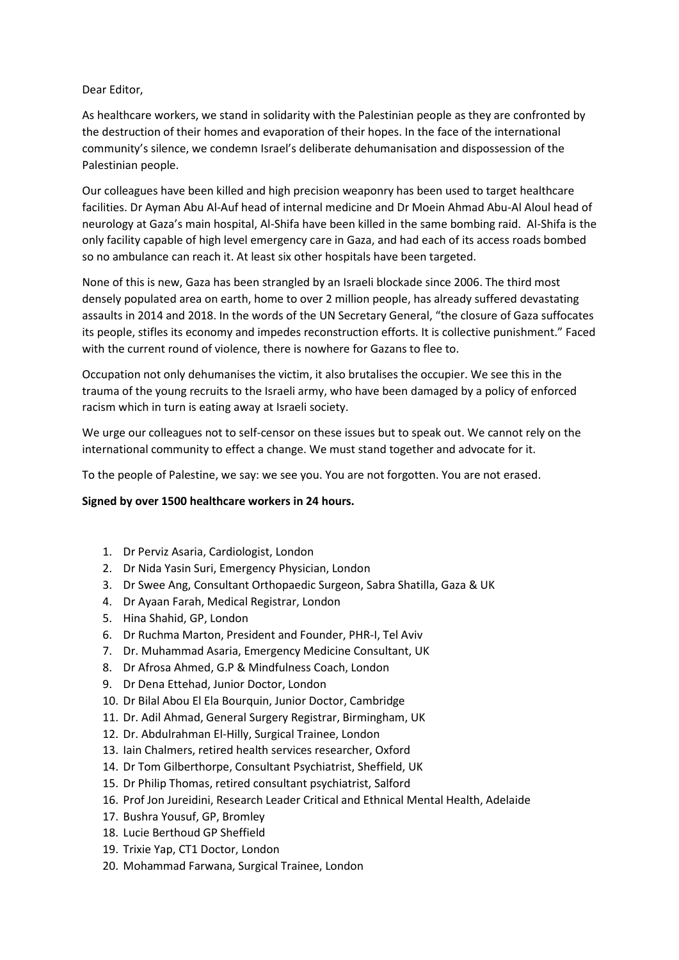## Dear Editor,

As healthcare workers, we stand in solidarity with the Palestinian people as they are confronted by the destruction of their homes and evaporation of their hopes. In the face of the international community's silence, we condemn Israel's deliberate dehumanisation and dispossession of the Palestinian people.

Our colleagues have been killed and high precision weaponry has been used to target healthcare facilities. Dr Ayman Abu Al-Auf head of internal medicine and Dr Moein Ahmad Abu-Al Aloul head of neurology at Gaza's main hospital, Al-Shifa have been killed in the same bombing raid. Al-Shifa is the only facility capable of high level emergency care in Gaza, and had each of its access roads bombed so no ambulance can reach it. At least six other hospitals have been targeted.

None of this is new, Gaza has been strangled by an Israeli blockade since 2006. The third most densely populated area on earth, home to over 2 million people, has already suffered devastating assaults in 2014 and 2018. In the words of the UN Secretary General, "the closure of Gaza suffocates its people, stifles its economy and impedes reconstruction efforts. It is collective punishment." Faced with the current round of violence, there is nowhere for Gazans to flee to.

Occupation not only dehumanises the victim, it also brutalises the occupier. We see this in the trauma of the young recruits to the Israeli army, who have been damaged by a policy of enforced racism which in turn is eating away at Israeli society.

We urge our colleagues not to self-censor on these issues but to speak out. We cannot rely on the international community to effect a change. We must stand together and advocate for it.

To the people of Palestine, we say: we see you. You are not forgotten. You are not erased.

## **Signed by over 1500 healthcare workers in 24 hours.**

- 1. Dr Perviz Asaria, Cardiologist, London
- 2. Dr Nida Yasin Suri, Emergency Physician, London
- 3. Dr Swee Ang, Consultant Orthopaedic Surgeon, Sabra Shatilla, Gaza & UK
- 4. Dr Ayaan Farah, Medical Registrar, London
- 5. Hina Shahid, GP, London
- 6. Dr Ruchma Marton, President and Founder, PHR-I, Tel Aviv
- 7. Dr. Muhammad Asaria, Emergency Medicine Consultant, UK
- 8. Dr Afrosa Ahmed, G.P & Mindfulness Coach, London
- 9. Dr Dena Ettehad, Junior Doctor, London
- 10. Dr Bilal Abou El Ela Bourquin, Junior Doctor, Cambridge
- 11. Dr. Adil Ahmad, General Surgery Registrar, Birmingham, UK
- 12. Dr. Abdulrahman El-Hilly, Surgical Trainee, London
- 13. Iain Chalmers, retired health services researcher, Oxford
- 14. Dr Tom Gilberthorpe, Consultant Psychiatrist, Sheffield, UK
- 15. Dr Philip Thomas, retired consultant psychiatrist, Salford
- 16. Prof Jon Jureidini, Research Leader Critical and Ethnical Mental Health, Adelaide
- 17. Bushra Yousuf, GP, Bromley
- 18. Lucie Berthoud GP Sheffield
- 19. Trixie Yap, CT1 Doctor, London
- 20. Mohammad Farwana, Surgical Trainee, London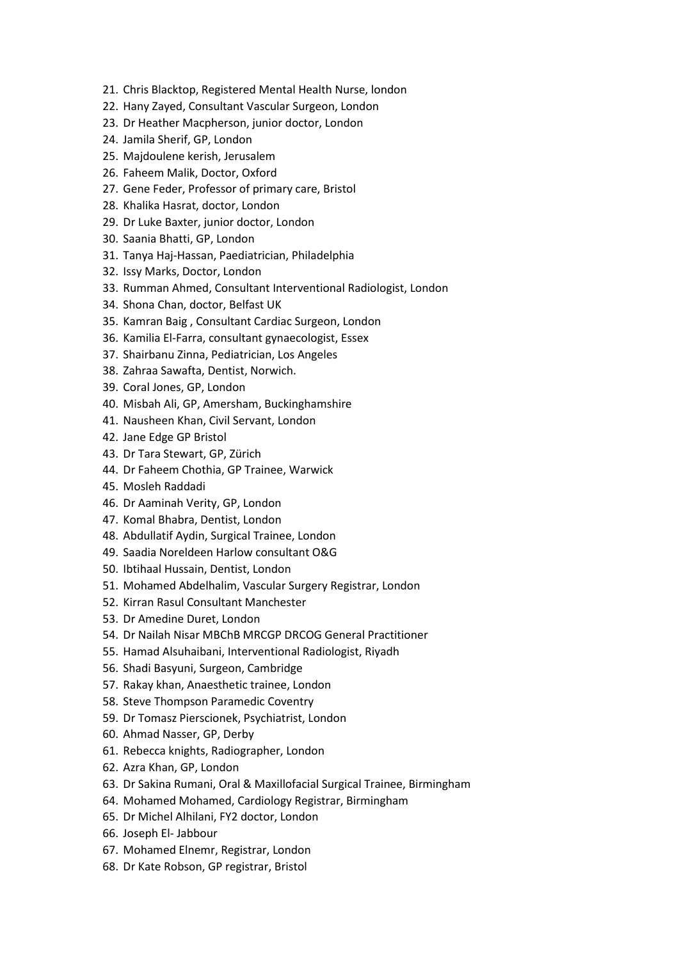- 21. Chris Blacktop, Registered Mental Health Nurse, london
- 22. Hany Zayed, Consultant Vascular Surgeon, London
- 23. Dr Heather Macpherson, junior doctor, London
- 24. Jamila Sherif, GP, London
- 25. Majdoulene kerish, Jerusalem
- 26. Faheem Malik, Doctor, Oxford
- 27. Gene Feder, Professor of primary care, Bristol
- 28. Khalika Hasrat, doctor, London
- 29. Dr Luke Baxter, junior doctor, London
- 30. Saania Bhatti, GP, London
- 31. Tanya Haj-Hassan, Paediatrician, Philadelphia
- 32. Issy Marks, Doctor, London
- 33. Rumman Ahmed, Consultant Interventional Radiologist, London
- 34. Shona Chan, doctor, Belfast UK
- 35. Kamran Baig , Consultant Cardiac Surgeon, London
- 36. Kamilia El-Farra, consultant gynaecologist, Essex
- 37. Shairbanu Zinna, Pediatrician, Los Angeles
- 38. Zahraa Sawafta, Dentist, Norwich.
- 39. Coral Jones, GP, London
- 40. Misbah Ali, GP, Amersham, Buckinghamshire
- 41. Nausheen Khan, Civil Servant, London
- 42. Jane Edge GP Bristol
- 43. Dr Tara Stewart, GP, Zürich
- 44. Dr Faheem Chothia, GP Trainee, Warwick
- 45. Mosleh Raddadi
- 46. Dr Aaminah Verity, GP, London
- 47. Komal Bhabra, Dentist, London
- 48. Abdullatif Aydin, Surgical Trainee, London
- 49. Saadia Noreldeen Harlow consultant O&G
- 50. Ibtihaal Hussain, Dentist, London
- 51. Mohamed Abdelhalim, Vascular Surgery Registrar, London
- 52. Kirran Rasul Consultant Manchester
- 53. Dr Amedine Duret, London
- 54. Dr Nailah Nisar MBChB MRCGP DRCOG General Practitioner
- 55. Hamad Alsuhaibani, Interventional Radiologist, Riyadh
- 56. Shadi Basyuni, Surgeon, Cambridge
- 57. Rakay khan, Anaesthetic trainee, London
- 58. Steve Thompson Paramedic Coventry
- 59. Dr Tomasz Pierscionek, Psychiatrist, London
- 60. Ahmad Nasser, GP, Derby
- 61. Rebecca knights, Radiographer, London
- 62. Azra Khan, GP, London
- 63. Dr Sakina Rumani, Oral & Maxillofacial Surgical Trainee, Birmingham
- 64. Mohamed Mohamed, Cardiology Registrar, Birmingham
- 65. Dr Michel Alhilani, FY2 doctor, London
- 66. Joseph El- Jabbour
- 67. Mohamed Elnemr, Registrar, London
- 68. Dr Kate Robson, GP registrar, Bristol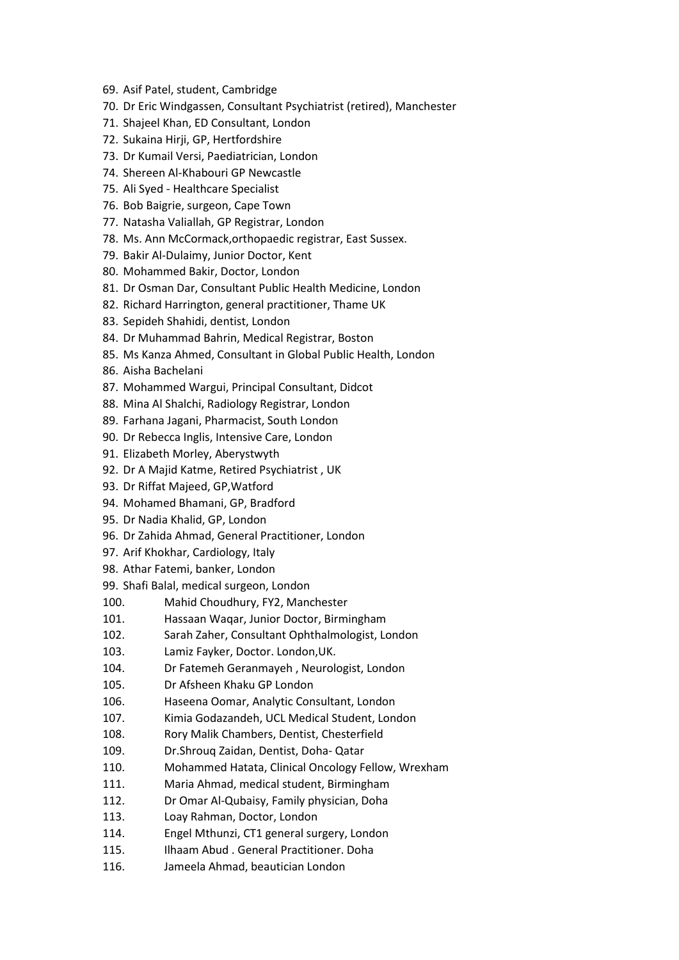- 69. Asif Patel, student, Cambridge
- 70. Dr Eric Windgassen, Consultant Psychiatrist (retired), Manchester
- 71. Shajeel Khan, ED Consultant, London
- 72. Sukaina Hirji, GP, Hertfordshire
- 73. Dr Kumail Versi, Paediatrician, London
- 74. Shereen Al-Khabouri GP Newcastle
- 75. Ali Syed Healthcare Specialist
- 76. Bob Baigrie, surgeon, Cape Town
- 77. Natasha Valiallah, GP Registrar, London
- 78. Ms. Ann McCormack,orthopaedic registrar, East Sussex.
- 79. Bakir Al-Dulaimy, Junior Doctor, Kent
- 80. Mohammed Bakir, Doctor, London
- 81. Dr Osman Dar, Consultant Public Health Medicine, London
- 82. Richard Harrington, general practitioner, Thame UK
- 83. Sepideh Shahidi, dentist, London
- 84. Dr Muhammad Bahrin, Medical Registrar, Boston
- 85. Ms Kanza Ahmed, Consultant in Global Public Health, London
- 86. Aisha Bachelani
- 87. Mohammed Wargui, Principal Consultant, Didcot
- 88. Mina Al Shalchi, Radiology Registrar, London
- 89. Farhana Jagani, Pharmacist, South London
- 90. Dr Rebecca Inglis, Intensive Care, London
- 91. Elizabeth Morley, Aberystwyth
- 92. Dr A Majid Katme, Retired Psychiatrist , UK
- 93. Dr Riffat Majeed, GP,Watford
- 94. Mohamed Bhamani, GP, Bradford
- 95. Dr Nadia Khalid, GP, London
- 96. Dr Zahida Ahmad, General Practitioner, London
- 97. Arif Khokhar, Cardiology, Italy
- 98. Athar Fatemi, banker, London
- 99. Shafi Balal, medical surgeon, London
- 100. Mahid Choudhury, FY2, Manchester
- 101. Hassaan Waqar, Junior Doctor, Birmingham
- 102. Sarah Zaher, Consultant Ophthalmologist, London
- 103. Lamiz Fayker, Doctor. London,UK.
- 104. Dr Fatemeh Geranmayeh , Neurologist, London
- 105. Dr Afsheen Khaku GP London
- 106. Haseena Oomar, Analytic Consultant, London
- 107. Kimia Godazandeh, UCL Medical Student, London
- 108. Rory Malik Chambers, Dentist, Chesterfield
- 109. Dr.Shrouq Zaidan, Dentist, Doha- Qatar
- 110. Mohammed Hatata, Clinical Oncology Fellow, Wrexham
- 111. Maria Ahmad, medical student, Birmingham
- 112. Dr Omar Al-Qubaisy, Family physician, Doha
- 113. Loay Rahman, Doctor, London
- 114. Engel Mthunzi, CT1 general surgery, London
- 115. Ilhaam Abud . General Practitioner. Doha
- 116. Jameela Ahmad, beautician London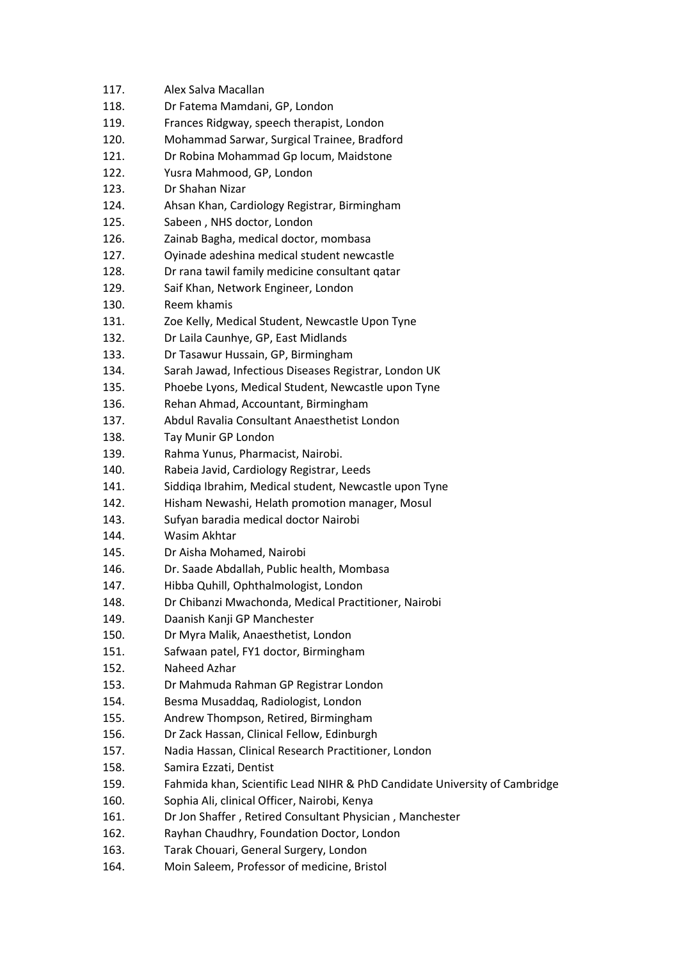| 117. | Alex Salva Macallan                                                        |
|------|----------------------------------------------------------------------------|
| 118. | Dr Fatema Mamdani, GP, London                                              |
| 119. | Frances Ridgway, speech therapist, London                                  |
| 120. | Mohammad Sarwar, Surgical Trainee, Bradford                                |
| 121. | Dr Robina Mohammad Gp locum, Maidstone                                     |
| 122. | Yusra Mahmood, GP, London                                                  |
| 123. | Dr Shahan Nizar                                                            |
| 124. | Ahsan Khan, Cardiology Registrar, Birmingham                               |
| 125. | Sabeen, NHS doctor, London                                                 |
| 126. | Zainab Bagha, medical doctor, mombasa                                      |
| 127. | Oyinade adeshina medical student newcastle                                 |
| 128. | Dr rana tawil family medicine consultant qatar                             |
| 129. | Saif Khan, Network Engineer, London                                        |
| 130. | Reem khamis                                                                |
| 131. | Zoe Kelly, Medical Student, Newcastle Upon Tyne                            |
| 132. | Dr Laila Caunhye, GP, East Midlands                                        |
| 133. | Dr Tasawur Hussain, GP, Birmingham                                         |
| 134. | Sarah Jawad, Infectious Diseases Registrar, London UK                      |
| 135. | Phoebe Lyons, Medical Student, Newcastle upon Tyne                         |
| 136. | Rehan Ahmad, Accountant, Birmingham                                        |
| 137. | Abdul Ravalia Consultant Anaesthetist London                               |
| 138. | Tay Munir GP London                                                        |
| 139. | Rahma Yunus, Pharmacist, Nairobi.                                          |
| 140. | Rabeia Javid, Cardiology Registrar, Leeds                                  |
| 141. | Siddiqa Ibrahim, Medical student, Newcastle upon Tyne                      |
| 142. | Hisham Newashi, Helath promotion manager, Mosul                            |
| 143. | Sufyan baradia medical doctor Nairobi                                      |
| 144. | Wasim Akhtar                                                               |
| 145. | Dr Aisha Mohamed, Nairobi                                                  |
| 146. | Dr. Saade Abdallah, Public health, Mombasa                                 |
| 147. | Hibba Quhill, Ophthalmologist, London                                      |
| 148. | Dr Chibanzi Mwachonda, Medical Practitioner, Nairobi                       |
| 149. | Daanish Kanji GP Manchester                                                |
| 150. | Dr Myra Malik, Anaesthetist, London                                        |
| 151. | Safwaan patel, FY1 doctor, Birmingham                                      |
| 152. | Naheed Azhar                                                               |
| 153. | Dr Mahmuda Rahman GP Registrar London                                      |
| 154. | Besma Musaddaq, Radiologist, London                                        |
| 155. | Andrew Thompson, Retired, Birmingham                                       |
| 156. | Dr Zack Hassan, Clinical Fellow, Edinburgh                                 |
| 157. | Nadia Hassan, Clinical Research Practitioner, London                       |
| 158. | Samira Ezzati, Dentist                                                     |
| 159. | Fahmida khan, Scientific Lead NIHR & PhD Candidate University of Cambridge |
| 160. | Sophia Ali, clinical Officer, Nairobi, Kenya                               |
| 161. | Dr Jon Shaffer, Retired Consultant Physician, Manchester                   |
| 162. | Rayhan Chaudhry, Foundation Doctor, London                                 |
| 163. | Tarak Chouari, General Surgery, London                                     |
| 164. | Moin Saleem, Professor of medicine, Bristol                                |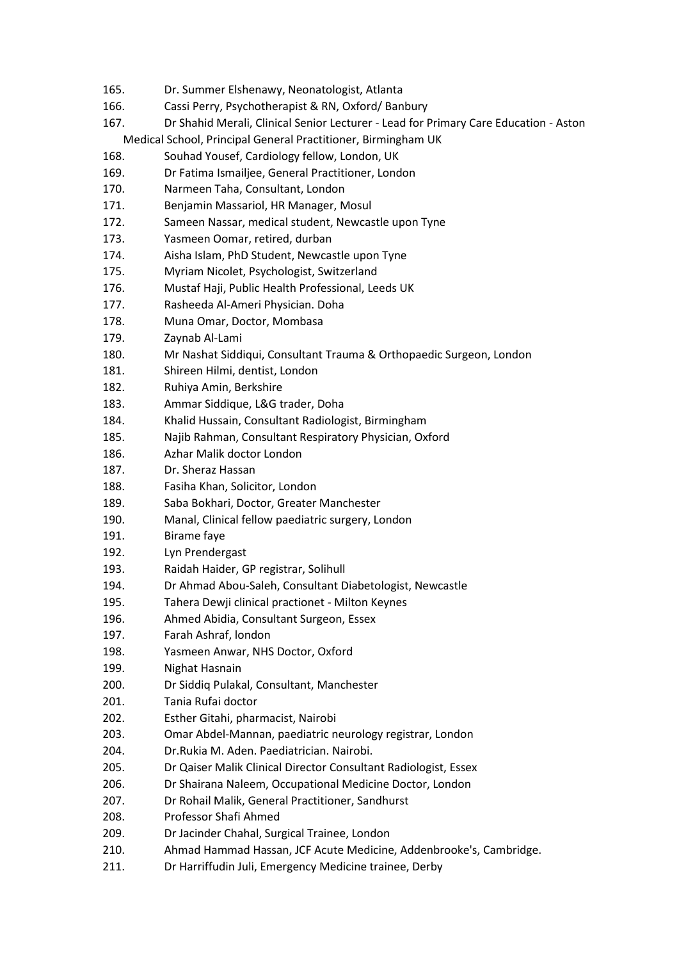- 165. Dr. Summer Elshenawy, Neonatologist, Atlanta
- 166. Cassi Perry, Psychotherapist & RN, Oxford/ Banbury
- 167. Dr Shahid Merali, Clinical Senior Lecturer Lead for Primary Care Education Aston Medical School, Principal General Practitioner, Birmingham UK
- 168. Souhad Yousef, Cardiology fellow, London, UK
- 169. Dr Fatima Ismailjee, General Practitioner, London
- 170. Narmeen Taha, Consultant, London
- 171. Benjamin Massariol, HR Manager, Mosul
- 172. Sameen Nassar, medical student, Newcastle upon Tyne
- 173. Yasmeen Oomar, retired, durban
- 174. Aisha Islam, PhD Student, Newcastle upon Tyne
- 175. Myriam Nicolet, Psychologist, Switzerland
- 176. Mustaf Haji, Public Health Professional, Leeds UK
- 177. Rasheeda Al-Ameri Physician. Doha
- 178. Muna Omar, Doctor, Mombasa
- 179. Zaynab Al-Lami
- 180. Mr Nashat Siddiqui, Consultant Trauma & Orthopaedic Surgeon, London
- 181. Shireen Hilmi, dentist, London
- 182. Ruhiya Amin, Berkshire
- 183. Ammar Siddique, L&G trader, Doha
- 184. Khalid Hussain, Consultant Radiologist, Birmingham
- 185. Najib Rahman, Consultant Respiratory Physician, Oxford
- 186. Azhar Malik doctor London
- 187. Dr. Sheraz Hassan
- 188. Fasiha Khan, Solicitor, London
- 189. Saba Bokhari, Doctor, Greater Manchester
- 190. Manal, Clinical fellow paediatric surgery, London
- 191. Birame faye
- 192. Lyn Prendergast
- 193. Raidah Haider, GP registrar, Solihull
- 194. Dr Ahmad Abou-Saleh, Consultant Diabetologist, Newcastle
- 195. Tahera Dewji clinical practionet Milton Keynes
- 196. Ahmed Abidia, Consultant Surgeon, Essex
- 197. Farah Ashraf, london
- 198. Yasmeen Anwar, NHS Doctor, Oxford
- 199. Nighat Hasnain
- 200. Dr Siddiq Pulakal, Consultant, Manchester
- 201. Tania Rufai doctor
- 202. Esther Gitahi, pharmacist, Nairobi
- 203. Omar Abdel-Mannan, paediatric neurology registrar, London
- 204. Dr.Rukia M. Aden. Paediatrician. Nairobi.
- 205. Dr Qaiser Malik Clinical Director Consultant Radiologist, Essex
- 206. Dr Shairana Naleem, Occupational Medicine Doctor, London
- 207. Dr Rohail Malik, General Practitioner, Sandhurst
- 208. Professor Shafi Ahmed
- 209. Dr Jacinder Chahal, Surgical Trainee, London
- 210. Ahmad Hammad Hassan, JCF Acute Medicine, Addenbrooke's, Cambridge.
- 211. Dr Harriffudin Juli, Emergency Medicine trainee, Derby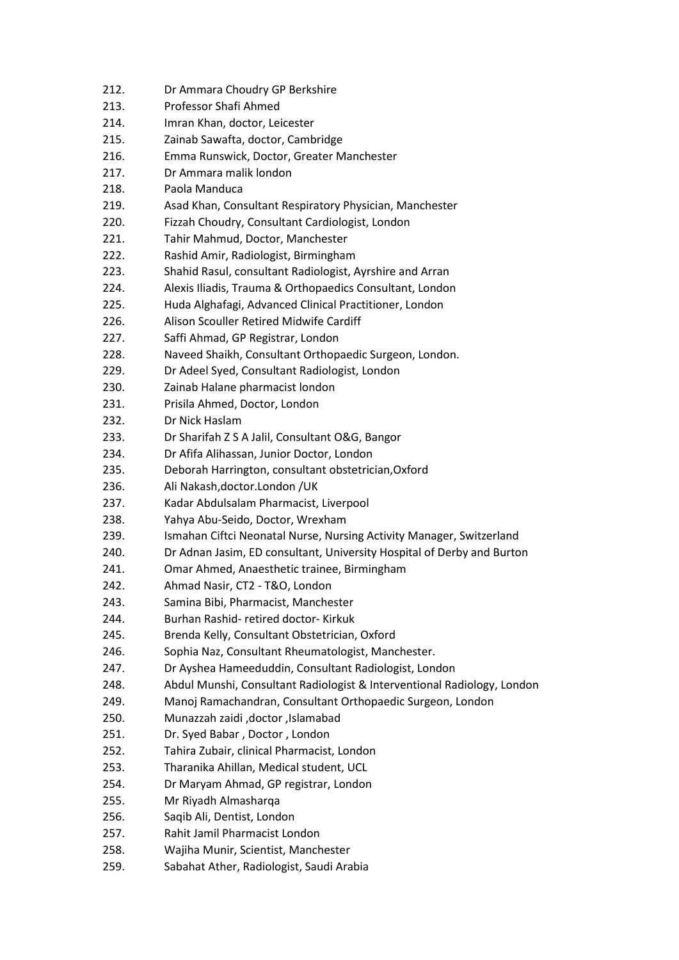- 212. Dr Ammara Choudry GP Berkshire
- 213. Professor Shafi Ahmed
- 214. Imran Khan, doctor, Leicester
- 215. Zainab Sawafta, doctor, Cambridge
- 216. Emma Runswick, Doctor, Greater Manchester
- 217. Dr Ammara malik london
- 218. Paola Manduca
- 219. Asad Khan, Consultant Respiratory Physician, Manchester
- 220. Fizzah Choudry, Consultant Cardiologist, London
- 221. Tahir Mahmud, Doctor, Manchester
- 222. Rashid Amir, Radiologist, Birmingham
- 223. Shahid Rasul, consultant Radiologist, Ayrshire and Arran
- 224. Alexis Iliadis, Trauma & Orthopaedics Consultant, London
- 225. Huda Alghafagi, Advanced Clinical Practitioner, London
- 226. Alison Scouller Retired Midwife Cardiff
- 227. Saffi Ahmad, GP Registrar, London
- 228. Naveed Shaikh, Consultant Orthopaedic Surgeon, London.
- 229. Dr Adeel Syed, Consultant Radiologist, London
- 230. Zainab Halane pharmacist london
- 231. Prisila Ahmed, Doctor, London
- 232. Dr Nick Haslam
- 233. Dr Sharifah Z S A Jalil, Consultant O&G, Bangor
- 234. Dr Afifa Alihassan, Junior Doctor, London
- 235. Deborah Harrington, consultant obstetrician,Oxford
- 236. Ali Nakash,doctor.London /UK
- 237. Kadar Abdulsalam Pharmacist, Liverpool
- 238. Yahya Abu-Seido, Doctor, Wrexham
- 239. Ismahan Ciftci Neonatal Nurse, Nursing Activity Manager, Switzerland
- 240. Dr Adnan Jasim, ED consultant, University Hospital of Derby and Burton
- 241. Omar Ahmed, Anaesthetic trainee, Birmingham
- 242. Ahmad Nasir, CT2 T&O, London
- 243. Samina Bibi, Pharmacist, Manchester
- 244. Burhan Rashid- retired doctor- Kirkuk
- 245. Brenda Kelly, Consultant Obstetrician, Oxford
- 246. Sophia Naz, Consultant Rheumatologist, Manchester.
- 247. Dr Ayshea Hameeduddin, Consultant Radiologist, London
- 248. Abdul Munshi, Consultant Radiologist & Interventional Radiology, London
- 249. Manoj Ramachandran, Consultant Orthopaedic Surgeon, London
- 250. Munazzah zaidi ,doctor ,Islamabad
- 251. Dr. Syed Babar , Doctor , London
- 252. Tahira Zubair, clinical Pharmacist, London
- 253. Tharanika Ahillan, Medical student, UCL
- 254. Dr Maryam Ahmad, GP registrar, London
- 255. Mr Riyadh Almasharqa
- 256. Saqib Ali, Dentist, London
- 257. Rahit Jamil Pharmacist London
- 258. Wajiha Munir, Scientist, Manchester
- 259. Sabahat Ather, Radiologist, Saudi Arabia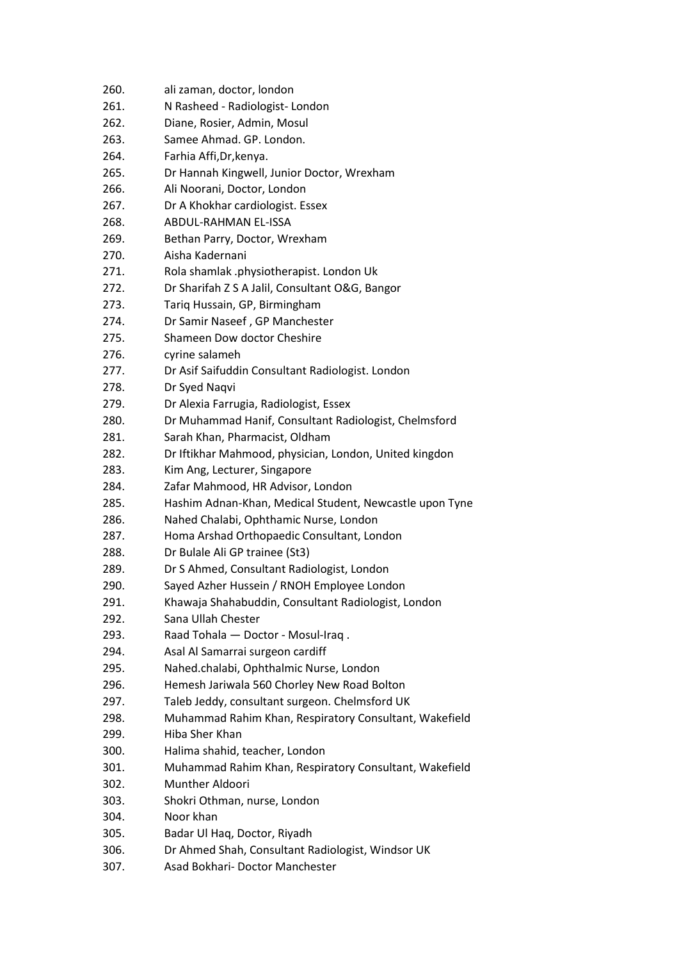| 260. | ali zaman, doctor, london                               |
|------|---------------------------------------------------------|
| 261. | N Rasheed - Radiologist- London                         |
| 262. | Diane, Rosier, Admin, Mosul                             |
| 263. | Samee Ahmad. GP. London.                                |
| 264. | Farhia Affi, Dr, kenya.                                 |
| 265. | Dr Hannah Kingwell, Junior Doctor, Wrexham              |
| 266. | Ali Noorani, Doctor, London                             |
| 267. | Dr A Khokhar cardiologist. Essex                        |
| 268. | <b>ABDUL-RAHMAN EL-ISSA</b>                             |
| 269. | Bethan Parry, Doctor, Wrexham                           |
| 270. | Aisha Kadernani                                         |
| 271. |                                                         |
|      | Rola shamlak .physiotherapist. London Uk                |
| 272. | Dr Sharifah Z S A Jalil, Consultant O&G, Bangor         |
| 273. | Tariq Hussain, GP, Birmingham                           |
| 274. | Dr Samir Naseef, GP Manchester                          |
| 275. | Shameen Dow doctor Cheshire                             |
| 276. | cyrine salameh                                          |
| 277. | Dr Asif Saifuddin Consultant Radiologist. London        |
| 278. | Dr Syed Naqvi                                           |
| 279. | Dr Alexia Farrugia, Radiologist, Essex                  |
| 280. | Dr Muhammad Hanif, Consultant Radiologist, Chelmsford   |
| 281. | Sarah Khan, Pharmacist, Oldham                          |
| 282. | Dr Iftikhar Mahmood, physician, London, United kingdon  |
| 283. | Kim Ang, Lecturer, Singapore                            |
| 284. | Zafar Mahmood, HR Advisor, London                       |
| 285. | Hashim Adnan-Khan, Medical Student, Newcastle upon Tyne |
| 286. | Nahed Chalabi, Ophthamic Nurse, London                  |
| 287. | Homa Arshad Orthopaedic Consultant, London              |
| 288. | Dr Bulale Ali GP trainee (St3)                          |
| 289. | Dr S Ahmed, Consultant Radiologist, London              |
| 290. | Sayed Azher Hussein / RNOH Employee London              |
| 291. | Khawaja Shahabuddin, Consultant Radiologist, London     |
| 292. | Sana Ullah Chester                                      |
| 293. | Raad Tohala - Doctor - Mosul-Iraq.                      |
| 294. | Asal Al Samarrai surgeon cardiff                        |
| 295. | Nahed.chalabi, Ophthalmic Nurse, London                 |
| 296. | Hemesh Jariwala 560 Chorley New Road Bolton             |
| 297. | Taleb Jeddy, consultant surgeon. Chelmsford UK          |
| 298. | Muhammad Rahim Khan, Respiratory Consultant, Wakefield  |
| 299. | Hiba Sher Khan                                          |
| 300. | Halima shahid, teacher, London                          |
|      |                                                         |
| 301. | Muhammad Rahim Khan, Respiratory Consultant, Wakefield  |
| 302. | Munther Aldoori                                         |
| 303. | Shokri Othman, nurse, London                            |
| 304. | Noor khan                                               |
| 305. | Badar Ul Haq, Doctor, Riyadh                            |
| 306. | Dr Ahmed Shah, Consultant Radiologist, Windsor UK       |
| 307. | Asad Bokhari- Doctor Manchester                         |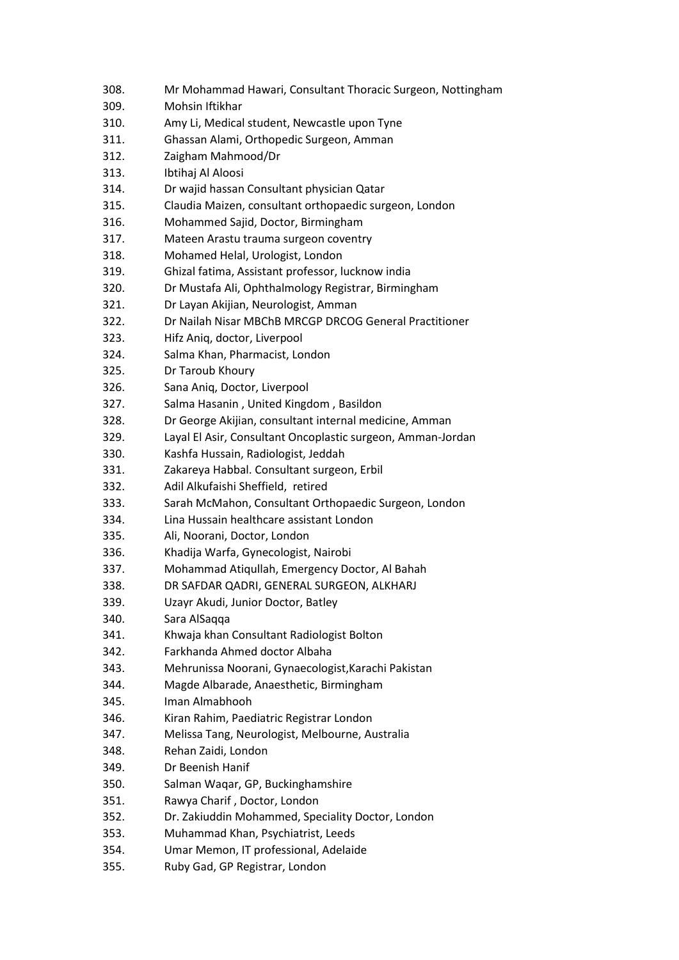- 308. Mr Mohammad Hawari, Consultant Thoracic Surgeon, Nottingham
- 309. Mohsin Iftikhar
- 310. Amy Li, Medical student, Newcastle upon Tyne
- 311. Ghassan Alami, Orthopedic Surgeon, Amman
- 312. Zaigham Mahmood/Dr
- 313. Ibtihaj Al Aloosi
- 314. Dr wajid hassan Consultant physician Qatar
- 315. Claudia Maizen, consultant orthopaedic surgeon, London
- 316. Mohammed Sajid, Doctor, Birmingham
- 317. Mateen Arastu trauma surgeon coventry
- 318. Mohamed Helal, Urologist, London
- 319. Ghizal fatima, Assistant professor, lucknow india
- 320. Dr Mustafa Ali, Ophthalmology Registrar, Birmingham
- 321. Dr Layan Akijian, Neurologist, Amman
- 322. Dr Nailah Nisar MBChB MRCGP DRCOG General Practitioner
- 323. Hifz Aniq, doctor, Liverpool
- 324. Salma Khan, Pharmacist, London
- 325. Dr Taroub Khoury
- 326. Sana Aniq, Doctor, Liverpool
- 327. Salma Hasanin , United Kingdom , Basildon
- 328. Dr George Akijian, consultant internal medicine, Amman
- 329. Layal El Asir, Consultant Oncoplastic surgeon, Amman-Jordan
- 330. Kashfa Hussain, Radiologist, Jeddah
- 331. Zakareya Habbal. Consultant surgeon, Erbil
- 332. Adil Alkufaishi Sheffield, retired
- 333. Sarah McMahon, Consultant Orthopaedic Surgeon, London
- 334. Lina Hussain healthcare assistant London
- 335. Ali, Noorani, Doctor, London
- 336. Khadija Warfa, Gynecologist, Nairobi
- 337. Mohammad Atiqullah, Emergency Doctor, Al Bahah
- 338. DR SAFDAR QADRI, GENERAL SURGEON, ALKHARJ
- 339. Uzayr Akudi, Junior Doctor, Batley
- 340. Sara AlSaqqa
- 341. Khwaja khan Consultant Radiologist Bolton
- 342. Farkhanda Ahmed doctor Albaha
- 343. Mehrunissa Noorani, Gynaecologist,Karachi Pakistan
- 344. Magde Albarade, Anaesthetic, Birmingham
- 345. Iman Almabhooh
- 346. Kiran Rahim, Paediatric Registrar London
- 347. Melissa Tang, Neurologist, Melbourne, Australia
- 348. Rehan Zaidi, London
- 349. Dr Beenish Hanif
- 350. Salman Waqar, GP, Buckinghamshire
- 351. Rawya Charif , Doctor, London
- 352. Dr. Zakiuddin Mohammed, Speciality Doctor, London
- 353. Muhammad Khan, Psychiatrist, Leeds
- 354. Umar Memon, IT professional, Adelaide
- 355. Ruby Gad, GP Registrar, London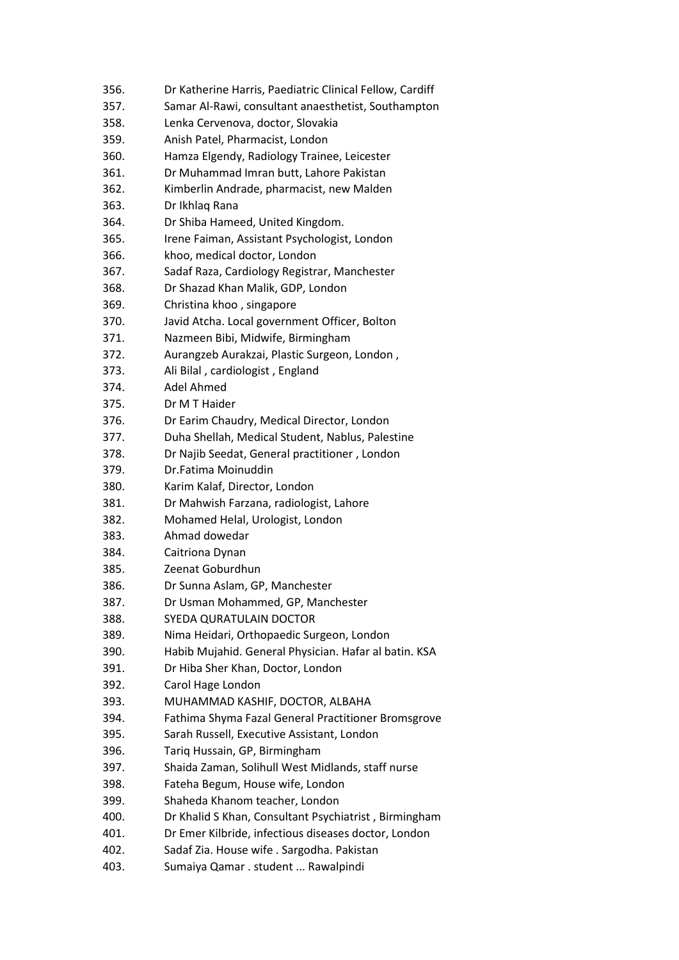- 356. Dr Katherine Harris, Paediatric Clinical Fellow, Cardiff
- 357. Samar Al-Rawi, consultant anaesthetist, Southampton
- 358. Lenka Cervenova, doctor, Slovakia
- 359. Anish Patel, Pharmacist, London
- 360. Hamza Elgendy, Radiology Trainee, Leicester
- 361. Dr Muhammad Imran butt, Lahore Pakistan
- 362. Kimberlin Andrade, pharmacist, new Malden
- 363. Dr Ikhlaq Rana
- 364. Dr Shiba Hameed, United Kingdom.
- 365. Irene Faiman, Assistant Psychologist, London
- 366. khoo, medical doctor, London
- 367. Sadaf Raza, Cardiology Registrar, Manchester
- 368. Dr Shazad Khan Malik, GDP, London
- 369. Christina khoo , singapore
- 370. Javid Atcha. Local government Officer, Bolton
- 371. Nazmeen Bibi, Midwife, Birmingham
- 372. Aurangzeb Aurakzai, Plastic Surgeon, London ,
- 373. Ali Bilal , cardiologist , England
- 374. Adel Ahmed
- 375. Dr M T Haider
- 376. Dr Earim Chaudry, Medical Director, London
- 377. Duha Shellah, Medical Student, Nablus, Palestine
- 378. Dr Najib Seedat, General practitioner , London
- 379. Dr.Fatima Moinuddin
- 380. Karim Kalaf, Director, London
- 381. Dr Mahwish Farzana, radiologist, Lahore
- 382. Mohamed Helal, Urologist, London
- 383. Ahmad dowedar
- 384. Caitriona Dynan
- 385. Zeenat Goburdhun
- 386. Dr Sunna Aslam, GP, Manchester
- 387. Dr Usman Mohammed, GP, Manchester
- 388. SYEDA QURATULAIN DOCTOR
- 389. Nima Heidari, Orthopaedic Surgeon, London
- 390. Habib Mujahid. General Physician. Hafar al batin. KSA
- 391. Dr Hiba Sher Khan, Doctor, London
- 392. Carol Hage London
- 393. MUHAMMAD KASHIF, DOCTOR, ALBAHA
- 394. Fathima Shyma Fazal General Practitioner Bromsgrove
- 395. Sarah Russell, Executive Assistant, London
- 396. Tariq Hussain, GP, Birmingham
- 397. Shaida Zaman, Solihull West Midlands, staff nurse
- 398. Fateha Begum, House wife, London
- 399. Shaheda Khanom teacher, London
- 400. Dr Khalid S Khan, Consultant Psychiatrist , Birmingham
- 401. Dr Emer Kilbride, infectious diseases doctor, London
- 402. Sadaf Zia. House wife . Sargodha. Pakistan
- 403. Sumaiya Qamar . student ... Rawalpindi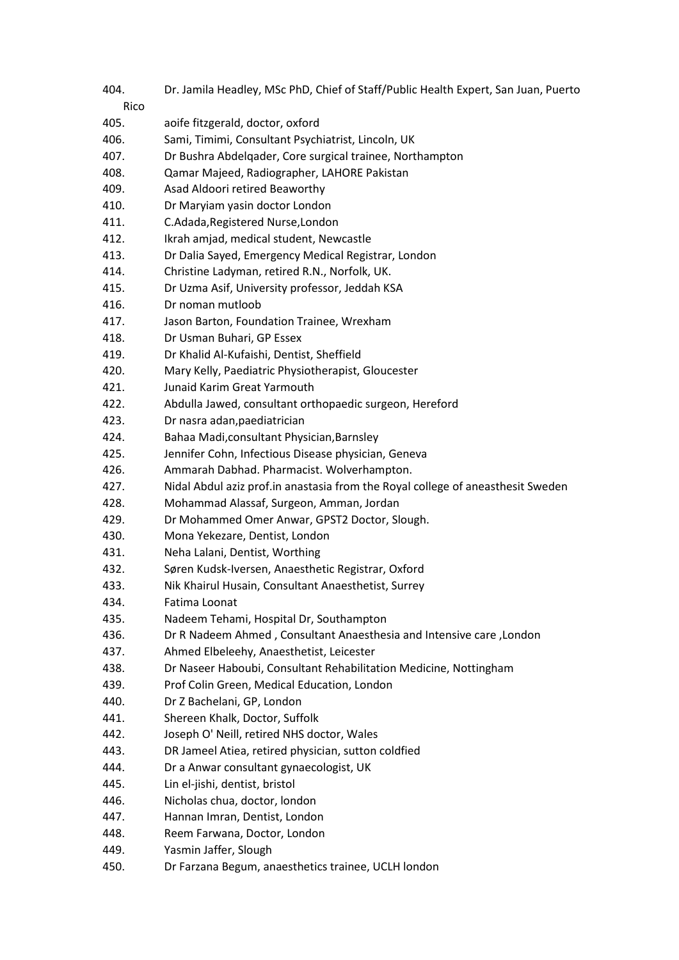404. Dr. Jamila Headley, MSc PhD, Chief of Staff/Public Health Expert, San Juan, Puerto Rico 405. aoife fitzgerald, doctor, oxford 406. Sami, Timimi, Consultant Psychiatrist, Lincoln, UK 407. Dr Bushra Abdelqader, Core surgical trainee, Northampton 408. Qamar Majeed, Radiographer, LAHORE Pakistan 409. Asad Aldoori retired Beaworthy 410. Dr Maryiam yasin doctor London 411. C.Adada,Registered Nurse,London 412. Ikrah amjad, medical student, Newcastle 413. Dr Dalia Sayed, Emergency Medical Registrar, London 414. Christine Ladyman, retired R.N., Norfolk, UK. 415. Dr Uzma Asif, University professor, Jeddah KSA 416. Dr noman mutloob 417. Jason Barton, Foundation Trainee, Wrexham 418. Dr Usman Buhari, GP Essex 419. Dr Khalid Al-Kufaishi, Dentist, Sheffield 420. Mary Kelly, Paediatric Physiotherapist, Gloucester 421. Junaid Karim Great Yarmouth 422. Abdulla Jawed, consultant orthopaedic surgeon, Hereford 423. Dr nasra adan,paediatrician 424. Bahaa Madi,consultant Physician,Barnsley 425. Jennifer Cohn, Infectious Disease physician, Geneva 426. Ammarah Dabhad. Pharmacist. Wolverhampton. 427. Nidal Abdul aziz prof.in anastasia from the Royal college of aneasthesit Sweden 428. Mohammad Alassaf, Surgeon, Amman, Jordan 429. Dr Mohammed Omer Anwar, GPST2 Doctor, Slough. 430. Mona Yekezare, Dentist, London 431. Neha Lalani, Dentist, Worthing 432. Søren Kudsk-Iversen, Anaesthetic Registrar, Oxford 433. Nik Khairul Husain, Consultant Anaesthetist, Surrey 434. Fatima Loonat 435. Nadeem Tehami, Hospital Dr, Southampton 436. Dr R Nadeem Ahmed , Consultant Anaesthesia and Intensive care ,London 437. Ahmed Elbeleehy, Anaesthetist, Leicester 438. Dr Naseer Haboubi, Consultant Rehabilitation Medicine, Nottingham 439. Prof Colin Green, Medical Education, London 440. Dr Z Bachelani, GP, London 441. Shereen Khalk, Doctor, Suffolk 442. Joseph O' Neill, retired NHS doctor, Wales 443. DR Jameel Atiea, retired physician, sutton coldfied 444. Dr a Anwar consultant gynaecologist, UK 445. Lin el-jishi, dentist, bristol 446. Nicholas chua, doctor, london 447. Hannan Imran, Dentist, London 448. Reem Farwana, Doctor, London 449. Yasmin Jaffer, Slough 450. Dr Farzana Begum, anaesthetics trainee, UCLH london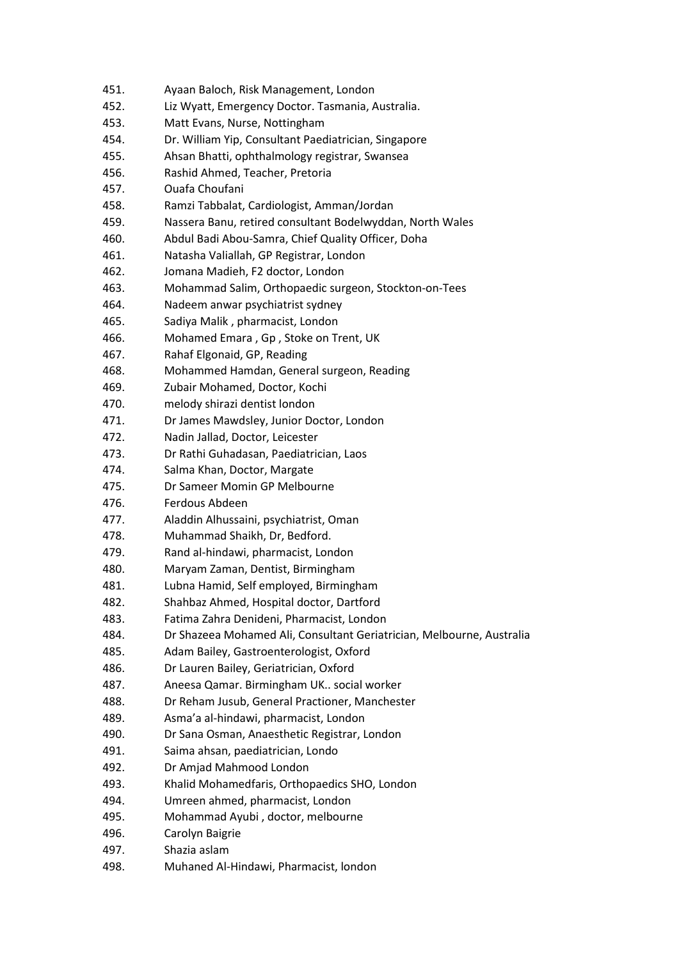- 452. Liz Wyatt, Emergency Doctor. Tasmania, Australia.
- 453. Matt Evans, Nurse, Nottingham
- 454. Dr. William Yip, Consultant Paediatrician, Singapore
- 455. Ahsan Bhatti, ophthalmology registrar, Swansea
- 456. Rashid Ahmed, Teacher, Pretoria
- 457. Ouafa Choufani
- 458. Ramzi Tabbalat, Cardiologist, Amman/Jordan
- 459. Nassera Banu, retired consultant Bodelwyddan, North Wales
- 460. Abdul Badi Abou-Samra, Chief Quality Officer, Doha
- 461. Natasha Valiallah, GP Registrar, London
- 462. Jomana Madieh, F2 doctor, London
- 463. Mohammad Salim, Orthopaedic surgeon, Stockton-on-Tees
- 464. Nadeem anwar psychiatrist sydney
- 465. Sadiya Malik , pharmacist, London
- 466. Mohamed Emara , Gp , Stoke on Trent, UK
- 467. Rahaf Elgonaid, GP, Reading
- 468. Mohammed Hamdan, General surgeon, Reading
- 469. Zubair Mohamed, Doctor, Kochi
- 470. melody shirazi dentist london
- 471. Dr James Mawdsley, Junior Doctor, London
- 472. Nadin Jallad, Doctor, Leicester
- 473. Dr Rathi Guhadasan, Paediatrician, Laos
- 474. Salma Khan, Doctor, Margate
- 475. Dr Sameer Momin GP Melbourne
- 476. Ferdous Abdeen
- 477. Aladdin Alhussaini, psychiatrist, Oman
- 478. Muhammad Shaikh, Dr, Bedford.
- 479. Rand al-hindawi, pharmacist, London
- 480. Maryam Zaman, Dentist, Birmingham
- 481. Lubna Hamid, Self employed, Birmingham
- 482. Shahbaz Ahmed, Hospital doctor, Dartford
- 483. Fatima Zahra Denideni, Pharmacist, London
- 484. Dr Shazeea Mohamed Ali, Consultant Geriatrician, Melbourne, Australia
- 485. Adam Bailey, Gastroenterologist, Oxford
- 486. Dr Lauren Bailey, Geriatrician, Oxford
- 487. Aneesa Qamar. Birmingham UK.. social worker
- 488. Dr Reham Jusub, General Practioner, Manchester
- 489. Asma'a al-hindawi, pharmacist, London
- 490. Dr Sana Osman, Anaesthetic Registrar, London
- 491. Saima ahsan, paediatrician, Londo
- 492. Dr Amjad Mahmood London
- 493. Khalid Mohamedfaris, Orthopaedics SHO, London
- 494. Umreen ahmed, pharmacist, London
- 495. Mohammad Ayubi , doctor, melbourne
- 496. Carolyn Baigrie
- 497. Shazia aslam
- 498. Muhaned Al-Hindawi, Pharmacist, london

<sup>451.</sup> Ayaan Baloch, Risk Management, London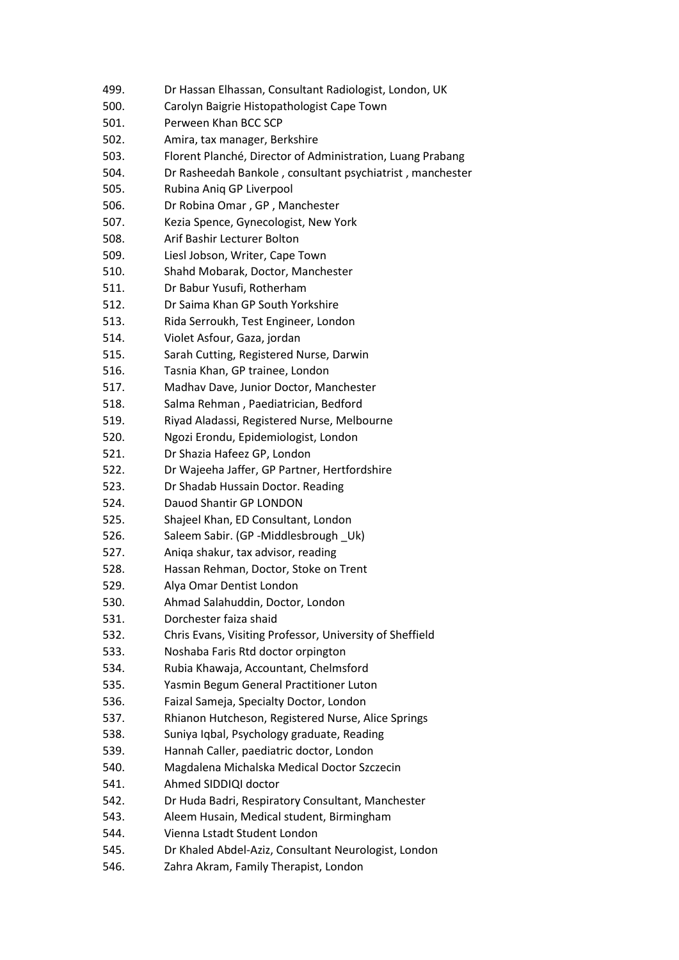- 500. Carolyn Baigrie Histopathologist Cape Town
- 501. Perween Khan BCC SCP
- 502. Amira, tax manager, Berkshire
- 503. Florent Planché, Director of Administration, Luang Prabang
- 504. Dr Rasheedah Bankole , consultant psychiatrist , manchester
- 505. Rubina Aniq GP Liverpool
- 506. Dr Robina Omar , GP , Manchester
- 507. Kezia Spence, Gynecologist, New York
- 508. Arif Bashir Lecturer Bolton
- 509. Liesl Jobson, Writer, Cape Town
- 510. Shahd Mobarak, Doctor, Manchester
- 511. Dr Babur Yusufi, Rotherham
- 512. Dr Saima Khan GP South Yorkshire
- 513. Rida Serroukh, Test Engineer, London
- 514. Violet Asfour, Gaza, jordan
- 515. Sarah Cutting, Registered Nurse, Darwin
- 516. Tasnia Khan, GP trainee, London
- 517. Madhav Dave, Junior Doctor, Manchester
- 518. Salma Rehman , Paediatrician, Bedford
- 519. Riyad Aladassi, Registered Nurse, Melbourne
- 520. Ngozi Erondu, Epidemiologist, London
- 521. Dr Shazia Hafeez GP, London
- 522. Dr Wajeeha Jaffer, GP Partner, Hertfordshire
- 523. Dr Shadab Hussain Doctor. Reading
- 524. Dauod Shantir GP LONDON
- 525. Shajeel Khan, ED Consultant, London
- 526. Saleem Sabir. (GP -Middlesbrough Uk)
- 527. Aniqa shakur, tax advisor, reading
- 528. Hassan Rehman, Doctor, Stoke on Trent
- 529. Alya Omar Dentist London
- 530. Ahmad Salahuddin, Doctor, London
- 531. Dorchester faiza shaid
- 532. Chris Evans, Visiting Professor, University of Sheffield
- 533. Noshaba Faris Rtd doctor orpington
- 534. Rubia Khawaja, Accountant, Chelmsford
- 535. Yasmin Begum General Practitioner Luton
- 536. Faizal Sameja, Specialty Doctor, London
- 537. Rhianon Hutcheson, Registered Nurse, Alice Springs
- 538. Suniya Iqbal, Psychology graduate, Reading
- 539. Hannah Caller, paediatric doctor, London
- 540. Magdalena Michalska Medical Doctor Szczecin
- 541. Ahmed SIDDIQI doctor
- 542. Dr Huda Badri, Respiratory Consultant, Manchester
- 543. Aleem Husain, Medical student, Birmingham
- 544. Vienna Lstadt Student London
- 545. Dr Khaled Abdel-Aziz, Consultant Neurologist, London
- 546. Zahra Akram, Family Therapist, London

<sup>499.</sup> Dr Hassan Elhassan, Consultant Radiologist, London, UK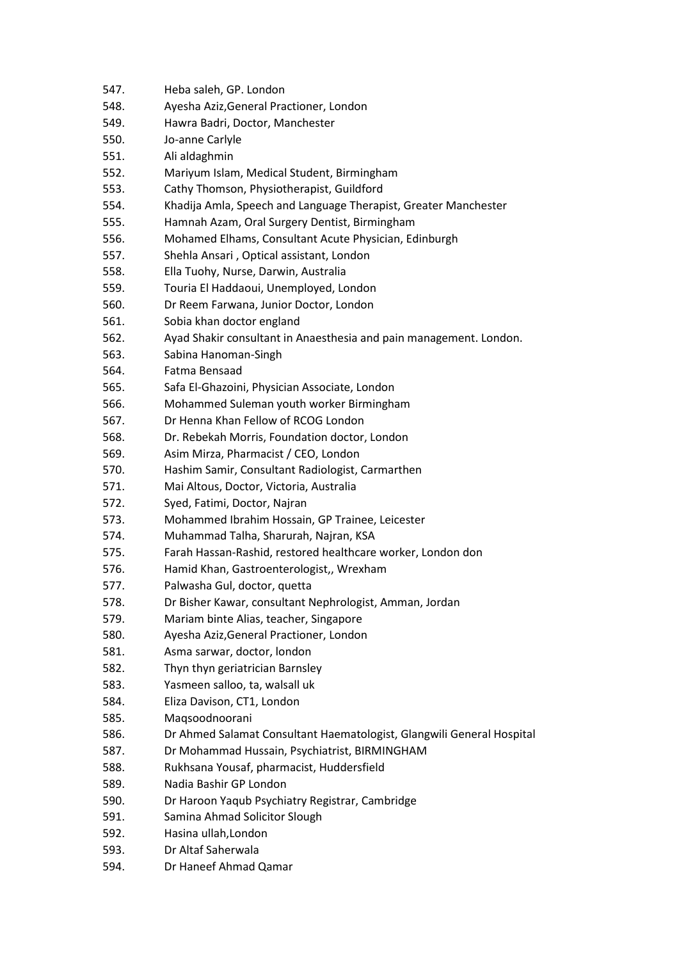- 548. Ayesha Aziz,General Practioner, London
- 549. Hawra Badri, Doctor, Manchester
- 550. Jo-anne Carlyle
- 551. Ali aldaghmin
- 552. Mariyum Islam, Medical Student, Birmingham
- 553. Cathy Thomson, Physiotherapist, Guildford
- 554. Khadija Amla, Speech and Language Therapist, Greater Manchester
- 555. Hamnah Azam, Oral Surgery Dentist, Birmingham
- 556. Mohamed Elhams, Consultant Acute Physician, Edinburgh
- 557. Shehla Ansari , Optical assistant, London
- 558. Ella Tuohy, Nurse, Darwin, Australia
- 559. Touria El Haddaoui, Unemployed, London
- 560. Dr Reem Farwana, Junior Doctor, London
- 561. Sobia khan doctor england
- 562. Ayad Shakir consultant in Anaesthesia and pain management. London.
- 563. Sabina Hanoman-Singh
- 564. Fatma Bensaad
- 565. Safa El-Ghazoini, Physician Associate, London
- 566. Mohammed Suleman youth worker Birmingham
- 567. Dr Henna Khan Fellow of RCOG London
- 568. Dr. Rebekah Morris, Foundation doctor, London
- 569. Asim Mirza, Pharmacist / CEO, London
- 570. Hashim Samir, Consultant Radiologist, Carmarthen
- 571. Mai Altous, Doctor, Victoria, Australia
- 572. Syed, Fatimi, Doctor, Najran
- 573. Mohammed Ibrahim Hossain, GP Trainee, Leicester
- 574. Muhammad Talha, Sharurah, Najran, KSA
- 575. Farah Hassan-Rashid, restored healthcare worker, London don
- 576. Hamid Khan, Gastroenterologist,, Wrexham
- 577. Palwasha Gul, doctor, quetta
- 578. Dr Bisher Kawar, consultant Nephrologist, Amman, Jordan
- 579. Mariam binte Alias, teacher, Singapore
- 580. Ayesha Aziz,General Practioner, London
- 581. Asma sarwar, doctor, london
- 582. Thyn thyn geriatrician Barnsley
- 583. Yasmeen salloo, ta, walsall uk
- 584. Eliza Davison, CT1, London
- 585. Maqsoodnoorani
- 586. Dr Ahmed Salamat Consultant Haematologist, Glangwili General Hospital
- 587. Dr Mohammad Hussain, Psychiatrist, BIRMINGHAM
- 588. Rukhsana Yousaf, pharmacist, Huddersfield
- 589. Nadia Bashir GP London
- 590. Dr Haroon Yaqub Psychiatry Registrar, Cambridge
- 591. Samina Ahmad Solicitor Slough
- 592. Hasina ullah,London
- 593. Dr Altaf Saherwala
- 594. Dr Haneef Ahmad Qamar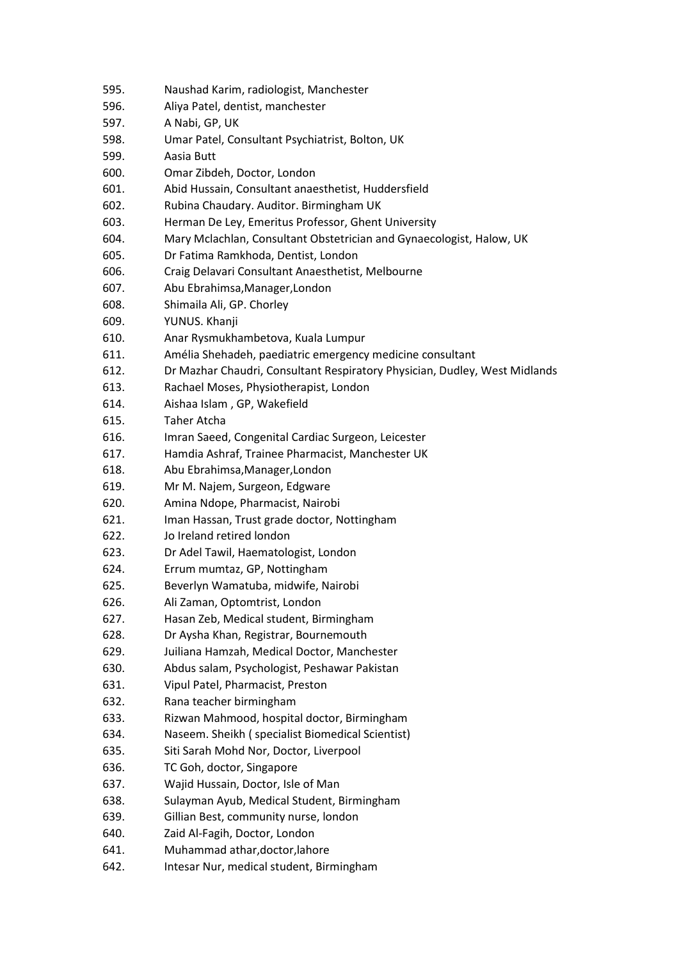- 596. Aliya Patel, dentist, manchester
- 597. A Nabi, GP, UK
- 598. Umar Patel, Consultant Psychiatrist, Bolton, UK
- 599. Aasia Butt
- 600. Omar Zibdeh, Doctor, London
- 601. Abid Hussain, Consultant anaesthetist, Huddersfield
- 602. Rubina Chaudary. Auditor. Birmingham UK
- 603. Herman De Ley, Emeritus Professor, Ghent University
- 604. Mary Mclachlan, Consultant Obstetrician and Gynaecologist, Halow, UK
- 605. Dr Fatima Ramkhoda, Dentist, London
- 606. Craig Delavari Consultant Anaesthetist, Melbourne
- 607. Abu Ebrahimsa,Manager,London
- 608. Shimaila Ali, GP. Chorley
- 609. YUNUS. Khanji
- 610. Anar Rysmukhambetova, Kuala Lumpur
- 611. Amélia Shehadeh, paediatric emergency medicine consultant
- 612. Dr Mazhar Chaudri, Consultant Respiratory Physician, Dudley, West Midlands
- 613. Rachael Moses, Physiotherapist, London
- 614. Aishaa Islam , GP, Wakefield
- 615. Taher Atcha
- 616. Imran Saeed, Congenital Cardiac Surgeon, Leicester
- 617. Hamdia Ashraf, Trainee Pharmacist, Manchester UK
- 618. Abu Ebrahimsa,Manager,London
- 619. Mr M. Najem, Surgeon, Edgware
- 620. Amina Ndope, Pharmacist, Nairobi
- 621. Iman Hassan, Trust grade doctor, Nottingham
- 622. Jo Ireland retired london
- 623. Dr Adel Tawil, Haematologist, London
- 624. Errum mumtaz, GP, Nottingham
- 625. Beverlyn Wamatuba, midwife, Nairobi
- 626. Ali Zaman, Optomtrist, London
- 627. Hasan Zeb, Medical student, Birmingham
- 628. Dr Aysha Khan, Registrar, Bournemouth
- 629. Juiliana Hamzah, Medical Doctor, Manchester
- 630. Abdus salam, Psychologist, Peshawar Pakistan
- 631. Vipul Patel, Pharmacist, Preston
- 632. Rana teacher birmingham
- 633. Rizwan Mahmood, hospital doctor, Birmingham
- 634. Naseem. Sheikh ( specialist Biomedical Scientist)
- 635. Siti Sarah Mohd Nor, Doctor, Liverpool
- 636. TC Goh, doctor, Singapore
- 637. Wajid Hussain, Doctor, Isle of Man
- 638. Sulayman Ayub, Medical Student, Birmingham
- 639. Gillian Best, community nurse, london
- 640. Zaid Al-Fagih, Doctor, London
- 641. Muhammad athar,doctor,lahore
- 642. Intesar Nur, medical student, Birmingham

<sup>595.</sup> Naushad Karim, radiologist, Manchester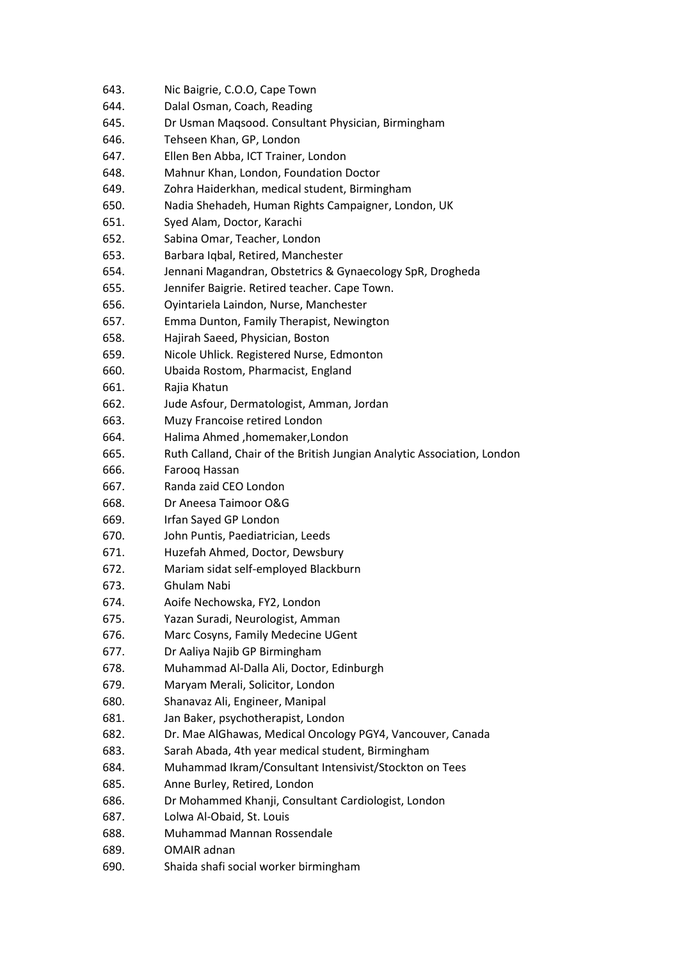- 643. Nic Baigrie, C.O.O, Cape Town
- 644. Dalal Osman, Coach, Reading
- 645. Dr Usman Maqsood. Consultant Physician, Birmingham
- 646. Tehseen Khan, GP, London
- 647. Ellen Ben Abba, ICT Trainer, London
- 648. Mahnur Khan, London, Foundation Doctor
- 649. Zohra Haiderkhan, medical student, Birmingham
- 650. Nadia Shehadeh, Human Rights Campaigner, London, UK
- 651. Syed Alam, Doctor, Karachi
- 652. Sabina Omar, Teacher, London
- 653. Barbara Iqbal, Retired, Manchester
- 654. Jennani Magandran, Obstetrics & Gynaecology SpR, Drogheda
- 655. Jennifer Baigrie. Retired teacher. Cape Town.
- 656. Oyintariela Laindon, Nurse, Manchester
- 657. Emma Dunton, Family Therapist, Newington
- 658. Hajirah Saeed, Physician, Boston
- 659. Nicole Uhlick. Registered Nurse, Edmonton
- 660. Ubaida Rostom, Pharmacist, England
- 661. Rajia Khatun
- 662. Jude Asfour, Dermatologist, Amman, Jordan
- 663. Muzy Francoise retired London
- 664. Halima Ahmed ,homemaker,London
- 665. Ruth Calland, Chair of the British Jungian Analytic Association, London
- 666. Farooq Hassan
- 667. Randa zaid CEO London
- 668. Dr Aneesa Taimoor O&G
- 669. Irfan Sayed GP London
- 670. John Puntis, Paediatrician, Leeds
- 671. Huzefah Ahmed, Doctor, Dewsbury
- 672. Mariam sidat self-employed Blackburn
- 673. Ghulam Nabi
- 674. Aoife Nechowska, FY2, London
- 675. Yazan Suradi, Neurologist, Amman
- 676. Marc Cosyns, Family Medecine UGent
- 677. Dr Aaliya Najib GP Birmingham
- 678. Muhammad Al-Dalla Ali, Doctor, Edinburgh
- 679. Maryam Merali, Solicitor, London
- 680. Shanavaz Ali, Engineer, Manipal
- 681. Jan Baker, psychotherapist, London
- 682. Dr. Mae AlGhawas, Medical Oncology PGY4, Vancouver, Canada
- 683. Sarah Abada, 4th year medical student, Birmingham
- 684. Muhammad Ikram/Consultant Intensivist/Stockton on Tees
- 685. Anne Burley, Retired, London
- 686. Dr Mohammed Khanji, Consultant Cardiologist, London
- 687. Lolwa Al-Obaid, St. Louis
- 688. Muhammad Mannan Rossendale
- 689. OMAIR adnan
- 690. Shaida shafi social worker birmingham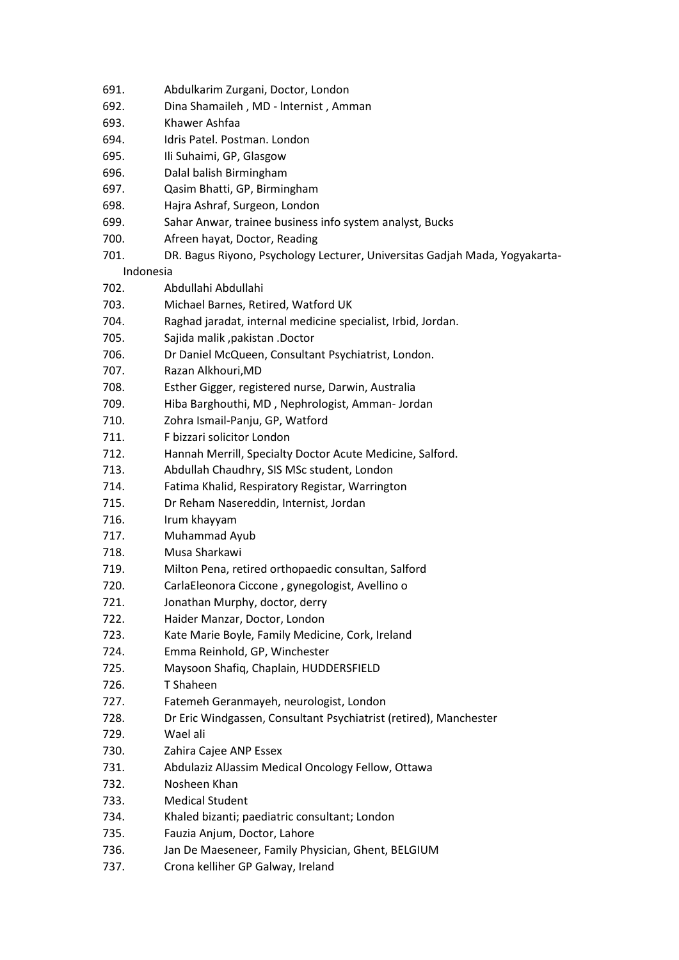- 691. Abdulkarim Zurgani, Doctor, London
- 692. Dina Shamaileh , MD lnternist , Amman
- 693. Khawer Ashfaa
- 694. Idris Patel. Postman. London
- 695. Ili Suhaimi, GP, Glasgow
- 696. Dalal balish Birmingham
- 697. Qasim Bhatti, GP, Birmingham
- 698. Hajra Ashraf, Surgeon, London
- 699. Sahar Anwar, trainee business info system analyst, Bucks
- 700. Afreen hayat, Doctor, Reading
- 701. DR. Bagus Riyono, Psychology Lecturer, Universitas Gadjah Mada, Yogyakarta-

Indonesia

- 702. Abdullahi Abdullahi
- 703. Michael Barnes, Retired, Watford UK
- 704. Raghad jaradat, internal medicine specialist, Irbid, Jordan.
- 705. Sajida malik ,pakistan .Doctor
- 706. Dr Daniel McQueen, Consultant Psychiatrist, London.
- 707. Razan Alkhouri,MD
- 708. Esther Gigger, registered nurse, Darwin, Australia
- 709. Hiba Barghouthi, MD , Nephrologist, Amman- Jordan
- 710. Zohra Ismail-Panju, GP, Watford
- 711. F bizzari solicitor London
- 712. Hannah Merrill, Specialty Doctor Acute Medicine, Salford.
- 713. Abdullah Chaudhry, SIS MSc student, London
- 714. Fatima Khalid, Respiratory Registar, Warrington
- 715. Dr Reham Nasereddin, Internist, Jordan
- 716. Irum khayyam
- 717. Muhammad Ayub
- 718. Musa Sharkawi
- 719. Milton Pena, retired orthopaedic consultan, Salford
- 720. CarlaEleonora Ciccone , gynegologist, Avellino o
- 721. Jonathan Murphy, doctor, derry
- 722. Haider Manzar, Doctor, London
- 723. Kate Marie Boyle, Family Medicine, Cork, Ireland
- 724. Emma Reinhold, GP, Winchester
- 725. Maysoon Shafiq, Chaplain, HUDDERSFIELD
- 726. T Shaheen
- 727. Fatemeh Geranmayeh, neurologist, London
- 728. Dr Eric Windgassen, Consultant Psychiatrist (retired), Manchester
- 729. Wael ali
- 730. Zahira Cajee ANP Essex
- 731. Abdulaziz AlJassim Medical Oncology Fellow, Ottawa
- 732. Nosheen Khan
- 733. Medical Student
- 734. Khaled bizanti; paediatric consultant; London
- 735. Fauzia Anjum, Doctor, Lahore
- 736. Jan De Maeseneer, Family Physician, Ghent, BELGIUM
- 737. Crona kelliher GP Galway, Ireland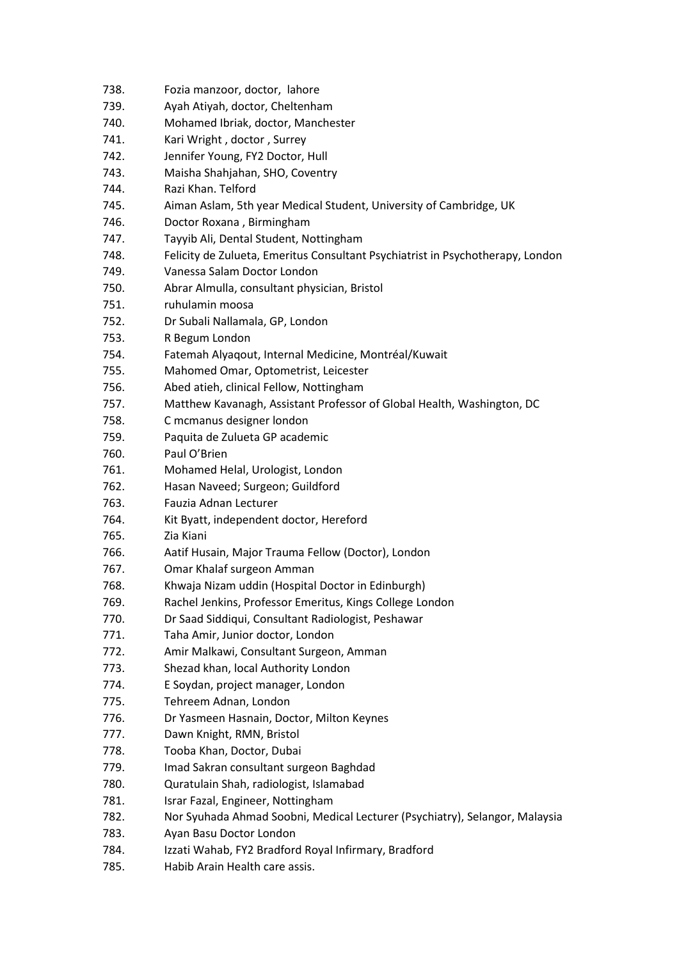- 739. Ayah Atiyah, doctor, Cheltenham
- 740. Mohamed Ibriak, doctor, Manchester
- 741. Kari Wright , doctor , Surrey
- 742. Jennifer Young, FY2 Doctor, Hull
- 743. Maisha Shahjahan, SHO, Coventry
- 744. Razi Khan. Telford
- 745. Aiman Aslam, 5th year Medical Student, University of Cambridge, UK
- 746. Doctor Roxana , Birmingham
- 747. Tayyib Ali, Dental Student, Nottingham
- 748. Felicity de Zulueta, Emeritus Consultant Psychiatrist in Psychotherapy, London
- 749. Vanessa Salam Doctor London
- 750. Abrar Almulla, consultant physician, Bristol
- 751. ruhulamin moosa
- 752. Dr Subali Nallamala, GP, London
- 753. R Begum London
- 754. Fatemah Alyaqout, Internal Medicine, Montréal/Kuwait
- 755. Mahomed Omar, Optometrist, Leicester
- 756. Abed atieh, clinical Fellow, Nottingham
- 757. Matthew Kavanagh, Assistant Professor of Global Health, Washington, DC
- 758. C mcmanus designer london
- 759. Paquita de Zulueta GP academic
- 760. Paul O'Brien
- 761. Mohamed Helal, Urologist, London
- 762. Hasan Naveed; Surgeon; Guildford
- 763. Fauzia Adnan Lecturer
- 764. Kit Byatt, independent doctor, Hereford
- 765. Zia Kiani
- 766. Aatif Husain, Major Trauma Fellow (Doctor), London
- 767. Omar Khalaf surgeon Amman
- 768. Khwaja Nizam uddin (Hospital Doctor in Edinburgh)
- 769. Rachel Jenkins, Professor Emeritus, Kings College London
- 770. Dr Saad Siddiqui, Consultant Radiologist, Peshawar
- 771. Taha Amir, Junior doctor, London
- 772. Amir Malkawi, Consultant Surgeon, Amman
- 773. Shezad khan, local Authority London
- 774. E Soydan, project manager, London
- 775. Tehreem Adnan, London
- 776. Dr Yasmeen Hasnain, Doctor, Milton Keynes
- 777. Dawn Knight, RMN, Bristol
- 778. Tooba Khan, Doctor, Dubai
- 779. Imad Sakran consultant surgeon Baghdad
- 780. Quratulain Shah, radiologist, Islamabad
- 781. Israr Fazal, Engineer, Nottingham
- 782. Nor Syuhada Ahmad Soobni, Medical Lecturer (Psychiatry), Selangor, Malaysia
- 783. Ayan Basu Doctor London
- 784. Izzati Wahab, FY2 Bradford Royal Infirmary, Bradford
- 785. Habib Arain Health care assis.

<sup>738.</sup> Fozia manzoor, doctor, lahore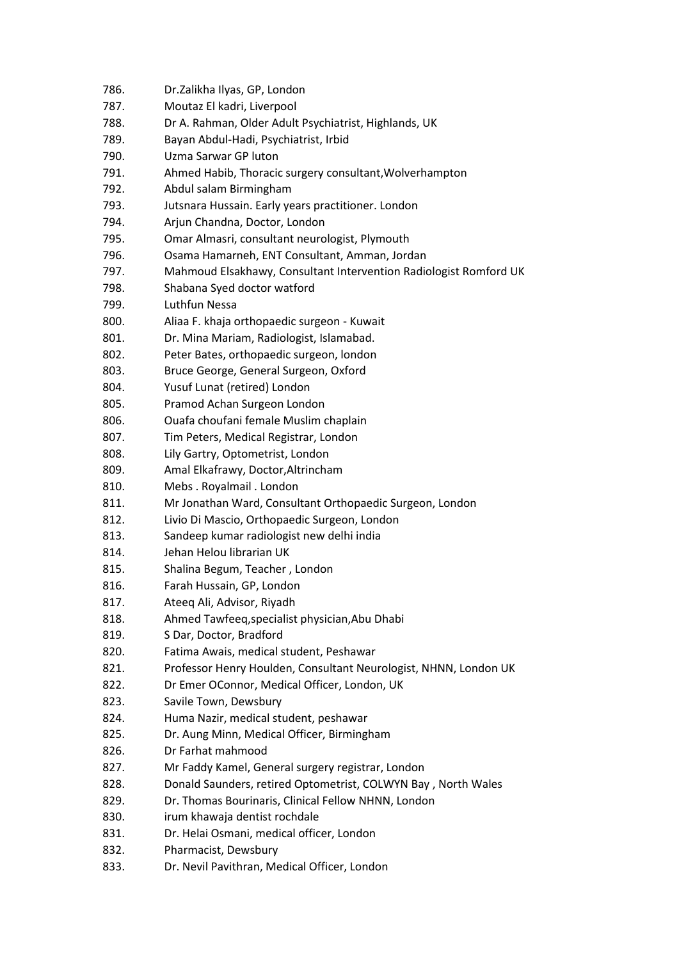- 786. Dr.Zalikha Ilyas, GP, London
- 787. Moutaz El kadri, Liverpool
- 788. Dr A. Rahman, Older Adult Psychiatrist, Highlands, UK
- 789. Bayan Abdul-Hadi, Psychiatrist, Irbid
- 790. Uzma Sarwar GP luton
- 791. Ahmed Habib, Thoracic surgery consultant,Wolverhampton
- 792. Abdul salam Birmingham
- 793. Jutsnara Hussain. Early years practitioner. London
- 794. Arjun Chandna, Doctor, London
- 795. Omar Almasri, consultant neurologist, Plymouth
- 796. Osama Hamarneh, ENT Consultant, Amman, Jordan
- 797. Mahmoud Elsakhawy, Consultant Intervention Radiologist Romford UK
- 798. Shabana Syed doctor watford
- 799. Luthfun Nessa
- 800. Aliaa F. khaja orthopaedic surgeon Kuwait
- 801. Dr. Mina Mariam, Radiologist, Islamabad.
- 802. Peter Bates, orthopaedic surgeon, london
- 803. Bruce George, General Surgeon, Oxford
- 804. Yusuf Lunat (retired) London
- 805. Pramod Achan Surgeon London
- 806. Ouafa choufani female Muslim chaplain
- 807. Tim Peters, Medical Registrar, London
- 808. Lily Gartry, Optometrist, London
- 809. Amal Elkafrawy, Doctor,Altrincham
- 810. Mebs . Royalmail . London
- 811. Mr Jonathan Ward, Consultant Orthopaedic Surgeon, London
- 812. Livio Di Mascio, Orthopaedic Surgeon, London
- 813. Sandeep kumar radiologist new delhi india
- 814. Jehan Helou librarian UK
- 815. Shalina Begum, Teacher , London
- 816. Farah Hussain, GP, London
- 817. Ateeq Ali, Advisor, Riyadh
- 818. Ahmed Tawfeeq,specialist physician,Abu Dhabi
- 819. S Dar, Doctor, Bradford
- 820. Fatima Awais, medical student, Peshawar
- 821. Professor Henry Houlden, Consultant Neurologist, NHNN, London UK
- 822. Dr Emer OConnor, Medical Officer, London, UK
- 823. Savile Town, Dewsbury
- 824. Huma Nazir, medical student, peshawar
- 825. Dr. Aung Minn, Medical Officer, Birmingham
- 826. Dr Farhat mahmood
- 827. Mr Faddy Kamel, General surgery registrar, London
- 828. Donald Saunders, retired Optometrist, COLWYN Bay , North Wales
- 829. Dr. Thomas Bourinaris, Clinical Fellow NHNN, London
- 830. irum khawaja dentist rochdale
- 831. Dr. Helai Osmani, medical officer, London
- 832. Pharmacist, Dewsbury
- 833. Dr. Nevil Pavithran, Medical Officer, London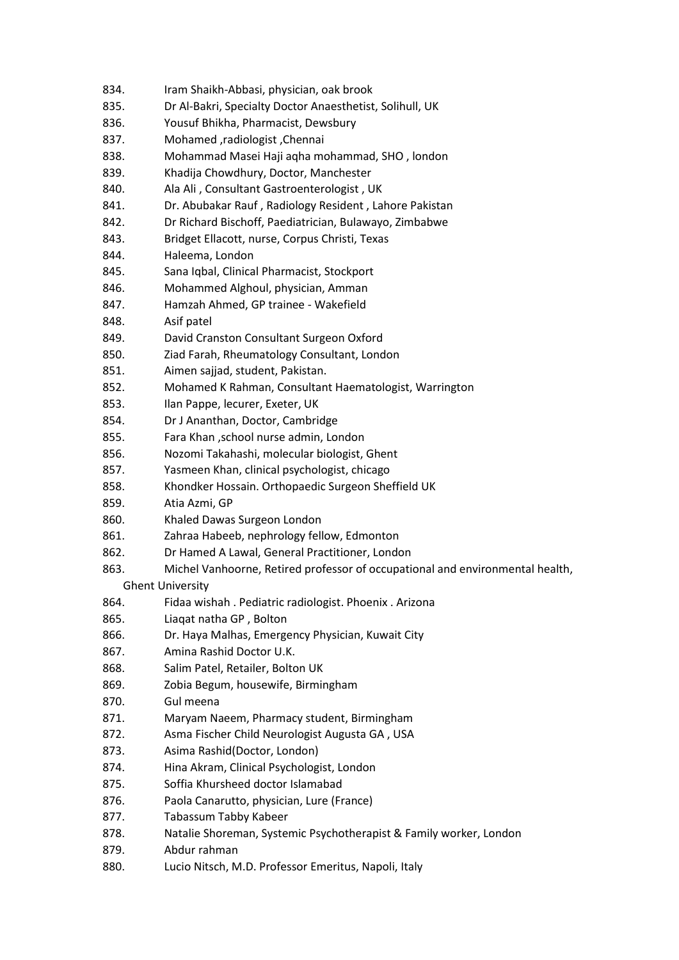- 834. Iram Shaikh-Abbasi, physician, oak brook
- 835. Dr Al-Bakri, Specialty Doctor Anaesthetist, Solihull, UK
- 836. Yousuf Bhikha, Pharmacist, Dewsbury
- 837. Mohamed ,radiologist ,Chennai
- 838. Mohammad Masei Haji aqha mohammad, SHO , london
- 839. Khadija Chowdhury, Doctor, Manchester
- 840. Ala Ali , Consultant Gastroenterologist , UK
- 841. Dr. Abubakar Rauf , Radiology Resident , Lahore Pakistan
- 842. Dr Richard Bischoff, Paediatrician, Bulawayo, Zimbabwe
- 843. Bridget Ellacott, nurse, Corpus Christi, Texas
- 844. Haleema, London
- 845. Sana Iqbal, Clinical Pharmacist, Stockport
- 846. Mohammed Alghoul, physician, Amman
- 847. Hamzah Ahmed, GP trainee Wakefield
- 848. Asif patel
- 849. David Cranston Consultant Surgeon Oxford
- 850. Ziad Farah, Rheumatology Consultant, London
- 851. Aimen sajjad, student, Pakistan.
- 852. Mohamed K Rahman, Consultant Haematologist, Warrington
- 853. Ilan Pappe, lecurer, Exeter, UK
- 854. Dr J Ananthan, Doctor, Cambridge
- 855. Fara Khan ,school nurse admin, London
- 856. Nozomi Takahashi, molecular biologist, Ghent
- 857. Yasmeen Khan, clinical psychologist, chicago
- 858. Khondker Hossain. Orthopaedic Surgeon Sheffield UK
- 859. Atia Azmi, GP
- 860. Khaled Dawas Surgeon London
- 861. Zahraa Habeeb, nephrology fellow, Edmonton
- 862. Dr Hamed A Lawal, General Practitioner, London
- 863. Michel Vanhoorne, Retired professor of occupational and environmental health, Ghent University
- 864. Fidaa wishah . Pediatric radiologist. Phoenix . Arizona
- 865. Liaqat natha GP , Bolton
- 866. Dr. Haya Malhas, Emergency Physician, Kuwait City
- 867. Amina Rashid Doctor U.K.
- 868. Salim Patel, Retailer, Bolton UK
- 869. Zobia Begum, housewife, Birmingham
- 870. Gul meena
- 871. Maryam Naeem, Pharmacy student, Birmingham
- 872. Asma Fischer Child Neurologist Augusta GA , USA
- 873. Asima Rashid(Doctor, London)
- 874. Hina Akram, Clinical Psychologist, London
- 875. Soffia Khursheed doctor Islamabad
- 876. Paola Canarutto, physician, Lure (France)
- 877. Tabassum Tabby Kabeer
- 878. Natalie Shoreman, Systemic Psychotherapist & Family worker, London
- 879. Abdur rahman
- 880. Lucio Nitsch, M.D. Professor Emeritus, Napoli, Italy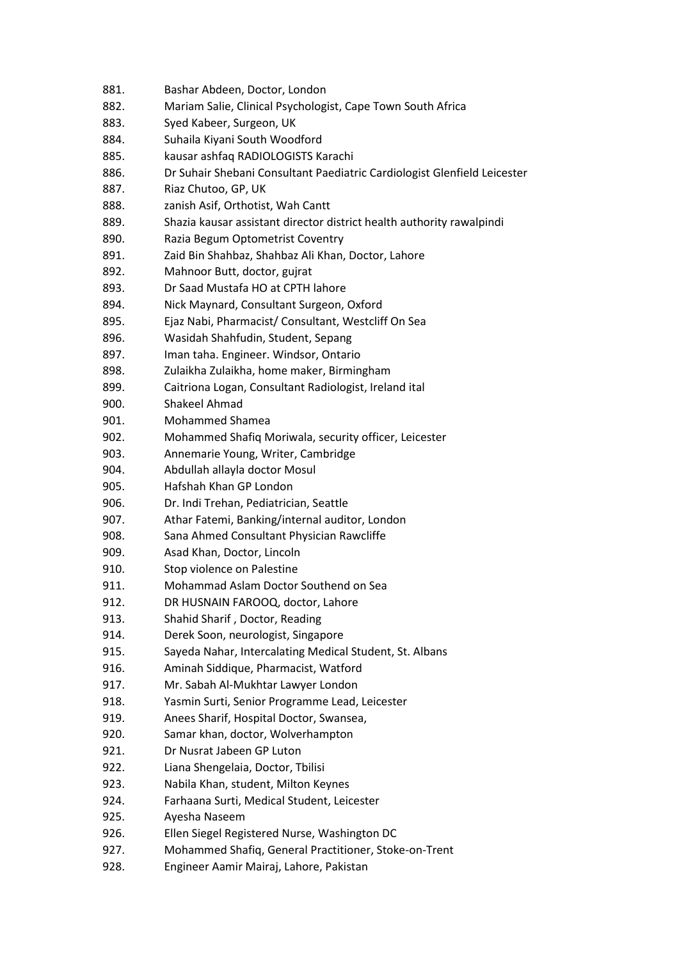- 882. Mariam Salie, Clinical Psychologist, Cape Town South Africa
- 883. Syed Kabeer, Surgeon, UK
- 884. Suhaila Kiyani South Woodford
- 885. kausar ashfaq RADIOLOGISTS Karachi
- 886. Dr Suhair Shebani Consultant Paediatric Cardiologist Glenfield Leicester
- 887. Riaz Chutoo, GP, UK
- 888. zanish Asif, Orthotist, Wah Cantt
- 889. Shazia kausar assistant director district health authority rawalpindi
- 890. Razia Begum Optometrist Coventry
- 891. Zaid Bin Shahbaz, Shahbaz Ali Khan, Doctor, Lahore
- 892. Mahnoor Butt, doctor, gujrat
- 893. Dr Saad Mustafa HO at CPTH lahore
- 894. Nick Maynard, Consultant Surgeon, Oxford
- 895. Ejaz Nabi, Pharmacist/ Consultant, Westcliff On Sea
- 896. Wasidah Shahfudin, Student, Sepang
- 897. Iman taha. Engineer. Windsor, Ontario
- 898. Zulaikha Zulaikha, home maker, Birmingham
- 899. Caitriona Logan, Consultant Radiologist, Ireland ital
- 900. Shakeel Ahmad
- 901. Mohammed Shamea
- 902. Mohammed Shafiq Moriwala, security officer, Leicester
- 903. Annemarie Young, Writer, Cambridge
- 904. Abdullah allayla doctor Mosul
- 905. Hafshah Khan GP London
- 906. Dr. Indi Trehan, Pediatrician, Seattle
- 907. Athar Fatemi, Banking/internal auditor, London
- 908. Sana Ahmed Consultant Physician Rawcliffe
- 909. Asad Khan, Doctor, Lincoln
- 910. Stop violence on Palestine
- 911. Mohammad Aslam Doctor Southend on Sea
- 912. DR HUSNAIN FAROOQ, doctor, Lahore
- 913. Shahid Sharif , Doctor, Reading
- 914. Derek Soon, neurologist, Singapore
- 915. Sayeda Nahar, Intercalating Medical Student, St. Albans
- 916. Aminah Siddique, Pharmacist, Watford
- 917. Mr. Sabah Al-Mukhtar Lawyer London
- 918. Yasmin Surti, Senior Programme Lead, Leicester
- 919. Anees Sharif, Hospital Doctor, Swansea,
- 920. Samar khan, doctor, Wolverhampton
- 921. Dr Nusrat Jabeen GP Luton
- 922. Liana Shengelaia, Doctor, Tbilisi
- 923. Nabila Khan, student, Milton Keynes
- 924. Farhaana Surti, Medical Student, Leicester
- 925. Ayesha Naseem
- 926. Ellen Siegel Registered Nurse, Washington DC
- 927. Mohammed Shafiq, General Practitioner, Stoke-on-Trent
- 928. Engineer Aamir Mairaj, Lahore, Pakistan

<sup>881.</sup> Bashar Abdeen, Doctor, London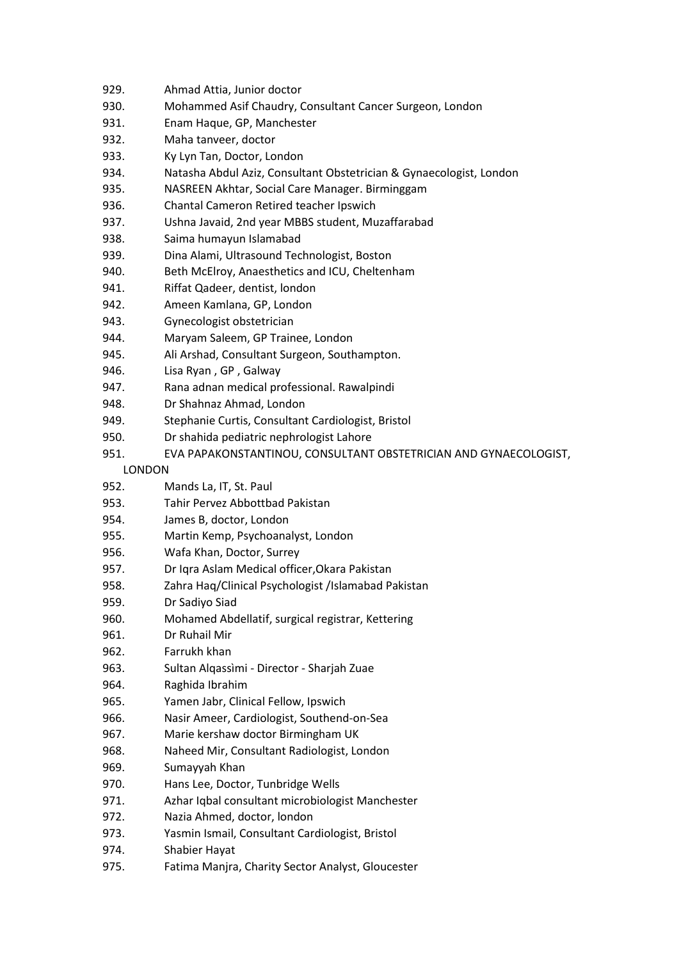- 929. Ahmad Attia, Junior doctor
- 930. Mohammed Asif Chaudry, Consultant Cancer Surgeon, London
- 931. Enam Haque, GP, Manchester
- 932. Maha tanveer, doctor
- 933. Ky Lyn Tan, Doctor, London
- 934. Natasha Abdul Aziz, Consultant Obstetrician & Gynaecologist, London
- 935. NASREEN Akhtar, Social Care Manager. Birminggam
- 936. Chantal Cameron Retired teacher Ipswich
- 937. Ushna Javaid, 2nd year MBBS student, Muzaffarabad
- 938. Saima humayun Islamabad
- 939. Dina Alami, Ultrasound Technologist, Boston
- 940. Beth McElroy, Anaesthetics and ICU, Cheltenham
- 941. Riffat Qadeer, dentist, london
- 942. Ameen Kamlana, GP, London
- 943. Gynecologist obstetrician
- 944. Maryam Saleem, GP Trainee, London
- 945. Ali Arshad, Consultant Surgeon, Southampton.
- 946. Lisa Ryan , GP , Galway
- 947. Rana adnan medical professional. Rawalpindi
- 948. Dr Shahnaz Ahmad, London
- 949. Stephanie Curtis, Consultant Cardiologist, Bristol
- 950. Dr shahida pediatric nephrologist Lahore
- 951. EVA PAPAKONSTANTINOU, CONSULTANT OBSTETRICIAN AND GYNAECOLOGIST,
	- LONDON
- 952. Mands La, IT, St. Paul
- 953. Tahir Pervez Abbottbad Pakistan
- 954. James B, doctor, London
- 955. Martin Kemp, Psychoanalyst, London
- 956. Wafa Khan, Doctor, Surrey
- 957. Dr Iqra Aslam Medical officer,Okara Pakistan
- 958. Zahra Haq/Clinical Psychologist /Islamabad Pakistan
- 959. Dr Sadiyo Siad
- 960. Mohamed Abdellatif, surgical registrar, Kettering
- 961. Dr Ruhail Mir
- 962. Farrukh khan
- 963. Sultan Alqassìmi Director Sharjah Zuae
- 964. Raghida Ibrahim
- 965. Yamen Jabr, Clinical Fellow, Ipswich
- 966. Nasir Ameer, Cardiologist, Southend-on-Sea
- 967. Marie kershaw doctor Birmingham UK
- 968. Naheed Mir, Consultant Radiologist, London
- 969. Sumayyah Khan
- 970. Hans Lee, Doctor, Tunbridge Wells
- 971. Azhar Iqbal consultant microbiologist Manchester
- 972. Nazia Ahmed, doctor, london
- 973. Yasmin Ismail, Consultant Cardiologist, Bristol
- 974. Shabier Hayat
- 975. Fatima Manjra, Charity Sector Analyst, Gloucester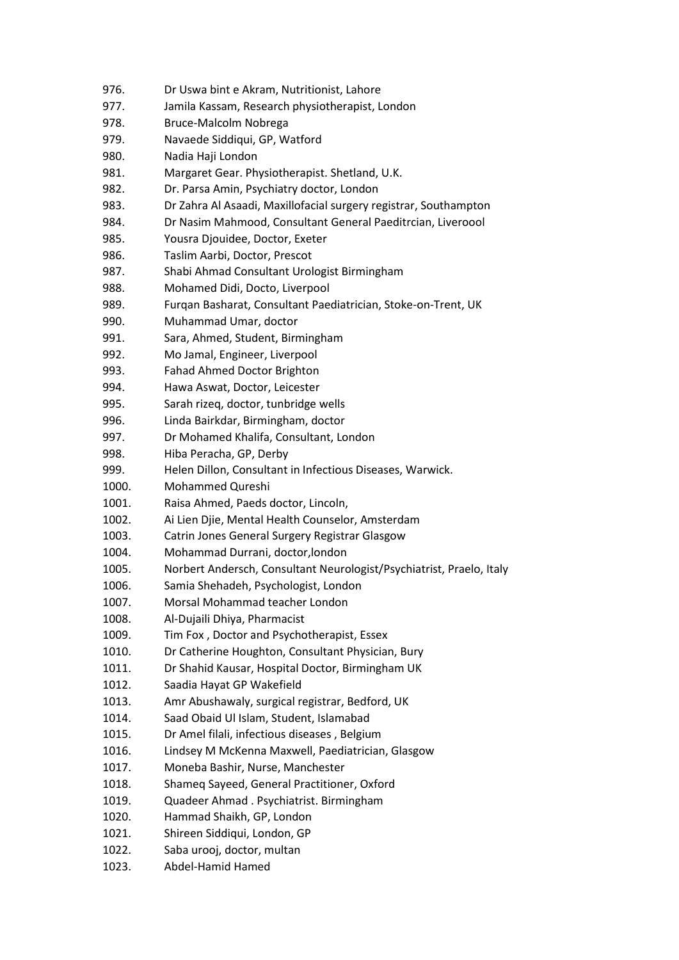- 977. Jamila Kassam, Research physiotherapist, London
- 978. Bruce-Malcolm Nobrega
- 979. Navaede Siddiqui, GP, Watford
- 980. Nadia Haji London
- 981. Margaret Gear. Physiotherapist. Shetland, U.K.
- 982. Dr. Parsa Amin, Psychiatry doctor, London
- 983. Dr Zahra Al Asaadi, Maxillofacial surgery registrar, Southampton
- 984. Dr Nasim Mahmood, Consultant General Paeditrcian, Liveroool
- 985. Yousra Djouidee, Doctor, Exeter
- 986. Taslim Aarbi, Doctor, Prescot
- 987. Shabi Ahmad Consultant Urologist Birmingham
- 988. Mohamed Didi, Docto, Liverpool
- 989. Furqan Basharat, Consultant Paediatrician, Stoke-on-Trent, UK
- 990. Muhammad Umar, doctor
- 991. Sara, Ahmed, Student, Birmingham
- 992. Mo Jamal, Engineer, Liverpool
- 993. Fahad Ahmed Doctor Brighton
- 994. Hawa Aswat, Doctor, Leicester
- 995. Sarah rizeq, doctor, tunbridge wells
- 996. Linda Bairkdar, Birmingham, doctor
- 997. Dr Mohamed Khalifa, Consultant, London
- 998. Hiba Peracha, GP, Derby
- 999. Helen Dillon, Consultant in Infectious Diseases, Warwick.
- 1000. Mohammed Qureshi
- 1001. Raisa Ahmed, Paeds doctor, Lincoln,
- 1002. Ai Lien Djie, Mental Health Counselor, Amsterdam
- 1003. Catrin Jones General Surgery Registrar Glasgow
- 1004. Mohammad Durrani, doctor,london
- 1005. Norbert Andersch, Consultant Neurologist/Psychiatrist, Praelo, Italy
- 1006. Samia Shehadeh, Psychologist, London
- 1007. Morsal Mohammad teacher London
- 1008. Al-Dujaili Dhiya, Pharmacist
- 1009. Tim Fox , Doctor and Psychotherapist, Essex
- 1010. Dr Catherine Houghton, Consultant Physician, Bury
- 1011. Dr Shahid Kausar, Hospital Doctor, Birmingham UK
- 1012. Saadia Hayat GP Wakefield
- 1013. Amr Abushawaly, surgical registrar, Bedford, UK
- 1014. Saad Obaid Ul Islam, Student, Islamabad
- 1015. Dr Amel filali, infectious diseases , Belgium
- 1016. Lindsey M McKenna Maxwell, Paediatrician, Glasgow
- 1017. Moneba Bashir, Nurse, Manchester
- 1018. Shameq Sayeed, General Practitioner, Oxford
- 1019. Quadeer Ahmad . Psychiatrist. Birmingham
- 1020. Hammad Shaikh, GP, London
- 1021. Shireen Siddiqui, London, GP
- 1022. Saba urooj, doctor, multan
- 1023. Abdel-Hamid Hamed

<sup>976.</sup> Dr Uswa bint e Akram, Nutritionist, Lahore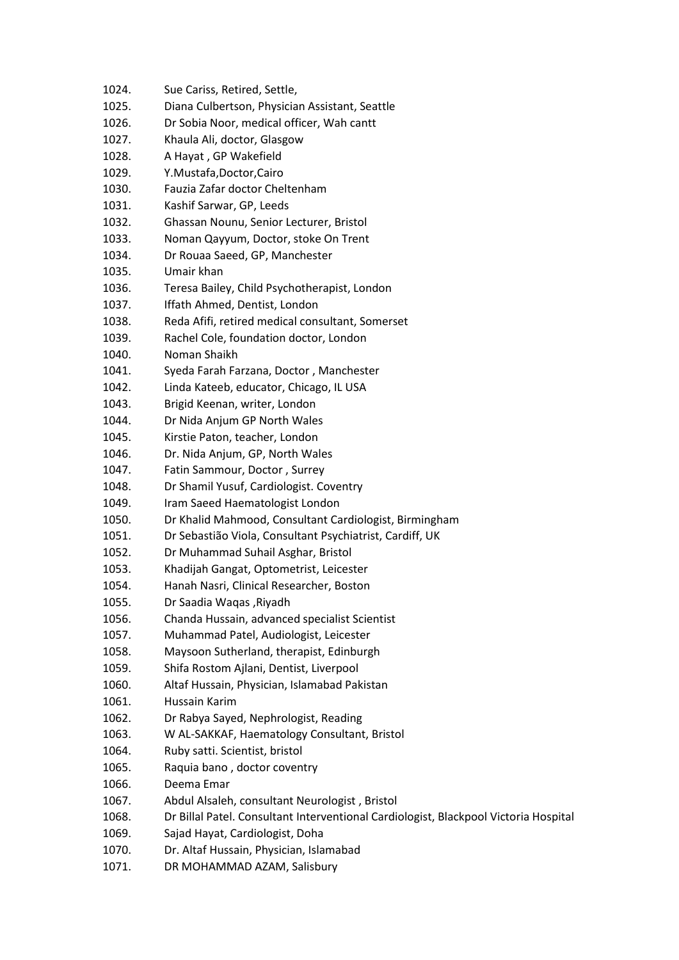| 1024. | Sue Cariss, Retired, Settle,                                                         |
|-------|--------------------------------------------------------------------------------------|
| 1025. | Diana Culbertson, Physician Assistant, Seattle                                       |
| 1026. | Dr Sobia Noor, medical officer, Wah cantt                                            |
| 1027. | Khaula Ali, doctor, Glasgow                                                          |
| 1028. | A Hayat, GP Wakefield                                                                |
| 1029. | Y.Mustafa,Doctor,Cairo                                                               |
| 1030. | Fauzia Zafar doctor Cheltenham                                                       |
| 1031. | Kashif Sarwar, GP, Leeds                                                             |
| 1032. | Ghassan Nounu, Senior Lecturer, Bristol                                              |
| 1033. | Noman Qayyum, Doctor, stoke On Trent                                                 |
| 1034. | Dr Rouaa Saeed, GP, Manchester                                                       |
| 1035. | Umair khan                                                                           |
| 1036. | Teresa Bailey, Child Psychotherapist, London                                         |
| 1037. | Iffath Ahmed, Dentist, London                                                        |
| 1038. | Reda Afifi, retired medical consultant, Somerset                                     |
| 1039. | Rachel Cole, foundation doctor, London                                               |
| 1040. | Noman Shaikh                                                                         |
| 1041. | Syeda Farah Farzana, Doctor, Manchester                                              |
| 1042. | Linda Kateeb, educator, Chicago, IL USA                                              |
| 1043. | Brigid Keenan, writer, London                                                        |
| 1044. | Dr Nida Anjum GP North Wales                                                         |
| 1045. | Kirstie Paton, teacher, London                                                       |
| 1046. | Dr. Nida Anjum, GP, North Wales                                                      |
| 1047. | Fatin Sammour, Doctor, Surrey                                                        |
| 1048. | Dr Shamil Yusuf, Cardiologist. Coventry                                              |
| 1049. | Iram Saeed Haematologist London                                                      |
| 1050. | Dr Khalid Mahmood, Consultant Cardiologist, Birmingham                               |
| 1051. | Dr Sebastião Viola, Consultant Psychiatrist, Cardiff, UK                             |
| 1052. | Dr Muhammad Suhail Asghar, Bristol                                                   |
| 1053. | Khadijah Gangat, Optometrist, Leicester                                              |
| 1054. | Hanah Nasri, Clinical Researcher, Boston                                             |
| 1055. | Dr Saadia Waqas, Riyadh                                                              |
| 1056. | Chanda Hussain, advanced specialist Scientist                                        |
| 1057. | Muhammad Patel, Audiologist, Leicester                                               |
| 1058. | Maysoon Sutherland, therapist, Edinburgh                                             |
| 1059. | Shifa Rostom Ajlani, Dentist, Liverpool                                              |
| 1060. | Altaf Hussain, Physician, Islamabad Pakistan                                         |
| 1061. | Hussain Karim                                                                        |
| 1062. | Dr Rabya Sayed, Nephrologist, Reading                                                |
| 1063. | W AL-SAKKAF, Haematology Consultant, Bristol                                         |
| 1064. | Ruby satti. Scientist, bristol                                                       |
| 1065. | Raquia bano, doctor coventry                                                         |
| 1066. | Deema Emar                                                                           |
| 1067. | Abdul Alsaleh, consultant Neurologist, Bristol                                       |
| 1068. | Dr Billal Patel. Consultant Interventional Cardiologist, Blackpool Victoria Hospital |
| 1069. | Sajad Hayat, Cardiologist, Doha                                                      |
| 1070. | Dr. Altaf Hussain, Physician, Islamabad                                              |
| 1071. | DR MOHAMMAD AZAM, Salisbury                                                          |
|       |                                                                                      |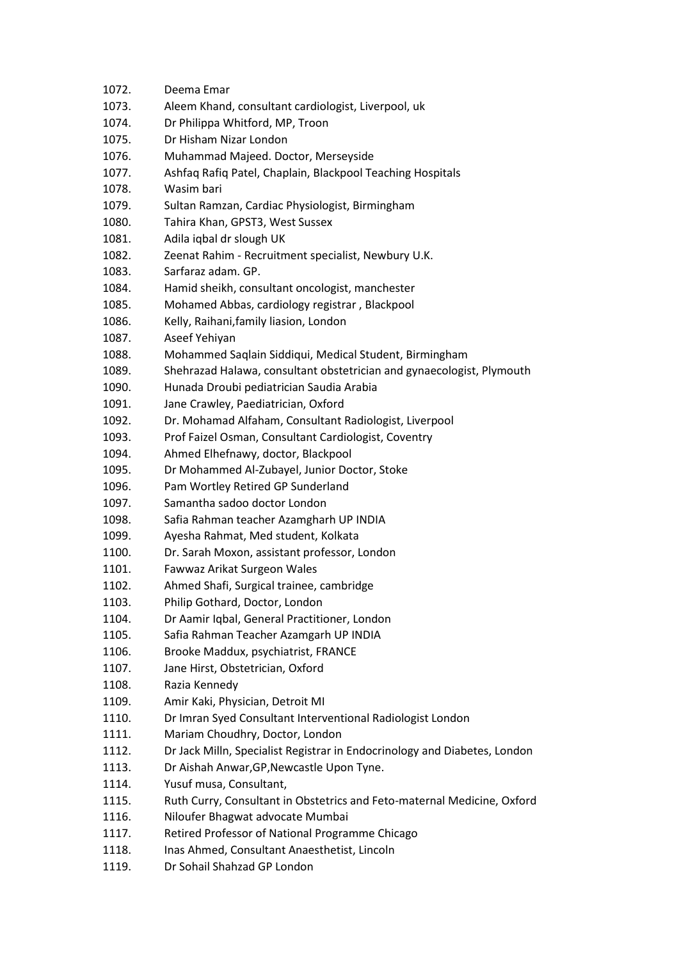| 1072. | Deema Emar                                                                |
|-------|---------------------------------------------------------------------------|
| 1073. | Aleem Khand, consultant cardiologist, Liverpool, uk                       |
| 1074. | Dr Philippa Whitford, MP, Troon                                           |
| 1075. | Dr Hisham Nizar London                                                    |
| 1076. | Muhammad Majeed. Doctor, Merseyside                                       |
| 1077. | Ashfaq Rafiq Patel, Chaplain, Blackpool Teaching Hospitals                |
| 1078. | Wasim bari                                                                |
| 1079. | Sultan Ramzan, Cardiac Physiologist, Birmingham                           |
| 1080. | Tahira Khan, GPST3, West Sussex                                           |
| 1081. | Adila iqbal dr slough UK                                                  |
| 1082. | Zeenat Rahim - Recruitment specialist, Newbury U.K.                       |
| 1083. | Sarfaraz adam. GP.                                                        |
| 1084. | Hamid sheikh, consultant oncologist, manchester                           |
| 1085. | Mohamed Abbas, cardiology registrar, Blackpool                            |
| 1086. | Kelly, Raihani, family liasion, London                                    |
| 1087. | Aseef Yehiyan                                                             |
| 1088. | Mohammed Saqlain Siddiqui, Medical Student, Birmingham                    |
| 1089. | Shehrazad Halawa, consultant obstetrician and gynaecologist, Plymouth     |
| 1090. | Hunada Droubi pediatrician Saudia Arabia                                  |
| 1091. | Jane Crawley, Paediatrician, Oxford                                       |
| 1092. | Dr. Mohamad Alfaham, Consultant Radiologist, Liverpool                    |
| 1093. | Prof Faizel Osman, Consultant Cardiologist, Coventry                      |
| 1094. | Ahmed Elhefnawy, doctor, Blackpool                                        |
| 1095. | Dr Mohammed Al-Zubayel, Junior Doctor, Stoke                              |
| 1096. | Pam Wortley Retired GP Sunderland                                         |
| 1097. | Samantha sadoo doctor London                                              |
| 1098. | Safia Rahman teacher Azamgharh UP INDIA                                   |
| 1099. | Ayesha Rahmat, Med student, Kolkata                                       |
| 1100. | Dr. Sarah Moxon, assistant professor, London                              |
| 1101. | Fawwaz Arikat Surgeon Wales                                               |
| 1102. | Ahmed Shafi, Surgical trainee, cambridge                                  |
| 1103. | Philip Gothard, Doctor, London                                            |
| 1104. | Dr Aamir Iqbal, General Practitioner, London                              |
| 1105. | Safia Rahman Teacher Azamgarh UP INDIA                                    |
| 1106. | Brooke Maddux, psychiatrist, FRANCE                                       |
| 1107. | Jane Hirst, Obstetrician, Oxford                                          |
| 1108. | Razia Kennedy                                                             |
| 1109. | Amir Kaki, Physician, Detroit MI                                          |
| 1110. | Dr Imran Syed Consultant Interventional Radiologist London                |
| 1111. | Mariam Choudhry, Doctor, London                                           |
| 1112. | Dr Jack Milln, Specialist Registrar in Endocrinology and Diabetes, London |
| 1113. | Dr Aishah Anwar, GP, Newcastle Upon Tyne.                                 |
| 1114. | Yusuf musa, Consultant,                                                   |
| 1115. | Ruth Curry, Consultant in Obstetrics and Feto-maternal Medicine, Oxford   |
| 1116. | Niloufer Bhagwat advocate Mumbai                                          |
| 1117. | Retired Professor of National Programme Chicago                           |
| 1118. | Inas Ahmed, Consultant Anaesthetist, Lincoln                              |
| 1119. | Dr Sohail Shahzad GP London                                               |
|       |                                                                           |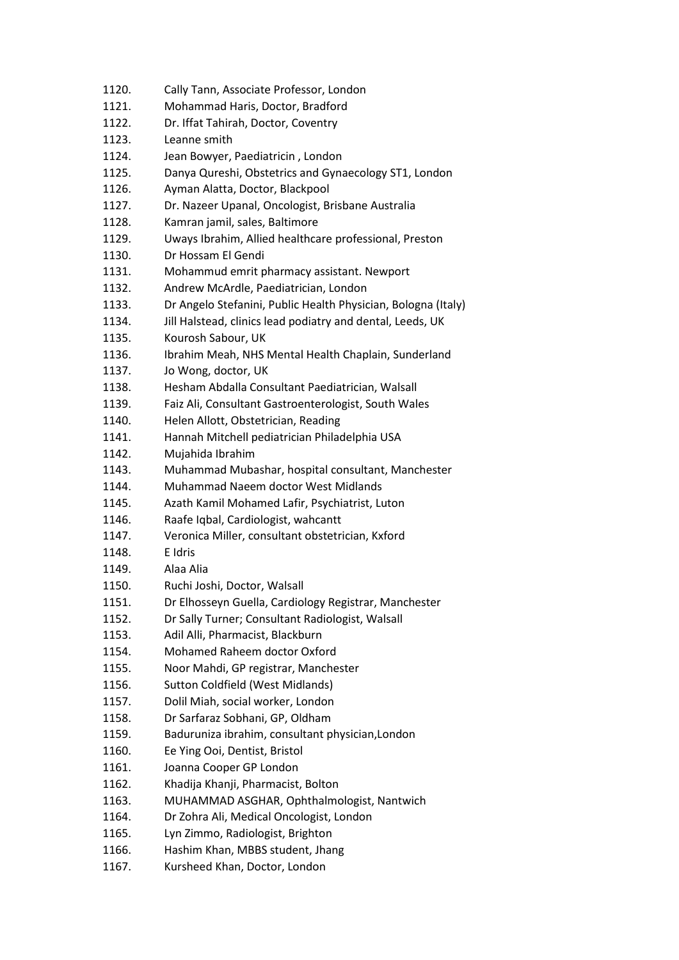| 1120. | Cally Tann, Associate Professor, London                       |
|-------|---------------------------------------------------------------|
| 1121. | Mohammad Haris, Doctor, Bradford                              |
| 1122. | Dr. Iffat Tahirah, Doctor, Coventry                           |
| 1123. | Leanne smith                                                  |
| 1124. | Jean Bowyer, Paediatricin, London                             |
| 1125. | Danya Qureshi, Obstetrics and Gynaecology ST1, London         |
| 1126. | Ayman Alatta, Doctor, Blackpool                               |
| 1127. | Dr. Nazeer Upanal, Oncologist, Brisbane Australia             |
| 1128. | Kamran jamil, sales, Baltimore                                |
| 1129. | Uways Ibrahim, Allied healthcare professional, Preston        |
| 1130. | Dr Hossam El Gendi                                            |
| 1131. | Mohammud emrit pharmacy assistant. Newport                    |
| 1132. | Andrew McArdle, Paediatrician, London                         |
| 1133. | Dr Angelo Stefanini, Public Health Physician, Bologna (Italy) |
| 1134. | Jill Halstead, clinics lead podiatry and dental, Leeds, UK    |
| 1135. | Kourosh Sabour, UK                                            |
| 1136. | Ibrahim Meah, NHS Mental Health Chaplain, Sunderland          |
| 1137. | Jo Wong, doctor, UK                                           |
| 1138. | Hesham Abdalla Consultant Paediatrician, Walsall              |
| 1139. | Faiz Ali, Consultant Gastroenterologist, South Wales          |
| 1140. | Helen Allott, Obstetrician, Reading                           |
| 1141. | Hannah Mitchell pediatrician Philadelphia USA                 |
| 1142. | Mujahida Ibrahim                                              |
| 1143. | Muhammad Mubashar, hospital consultant, Manchester            |
| 1144. | Muhammad Naeem doctor West Midlands                           |
| 1145. | Azath Kamil Mohamed Lafir, Psychiatrist, Luton                |
| 1146. | Raafe Iqbal, Cardiologist, wahcantt                           |
| 1147. | Veronica Miller, consultant obstetrician, Kxford              |
| 1148. | E Idris                                                       |
| 1149. | Alaa Alia                                                     |
| 1150. | Ruchi Joshi, Doctor, Walsall                                  |
| 1151. | Dr Elhosseyn Guella, Cardiology Registrar, Manchester         |
| 1152. | Dr Sally Turner; Consultant Radiologist, Walsall              |
| 1153. | Adil Alli, Pharmacist, Blackburn                              |
| 1154. | Mohamed Raheem doctor Oxford                                  |
| 1155. | Noor Mahdi, GP registrar, Manchester                          |
| 1156. | Sutton Coldfield (West Midlands)                              |
| 1157. | Dolil Miah, social worker, London                             |
| 1158. | Dr Sarfaraz Sobhani, GP, Oldham                               |
| 1159. | Baduruniza ibrahim, consultant physician, London              |
| 1160. | Ee Ying Ooi, Dentist, Bristol                                 |
| 1161. | Joanna Cooper GP London                                       |
| 1162. | Khadija Khanji, Pharmacist, Bolton                            |
| 1163. | MUHAMMAD ASGHAR, Ophthalmologist, Nantwich                    |
| 1164. | Dr Zohra Ali, Medical Oncologist, London                      |
| 1165. | Lyn Zimmo, Radiologist, Brighton                              |
| 1166. | Hashim Khan, MBBS student, Jhang                              |
| 1167. | Kursheed Khan, Doctor, London                                 |
|       |                                                               |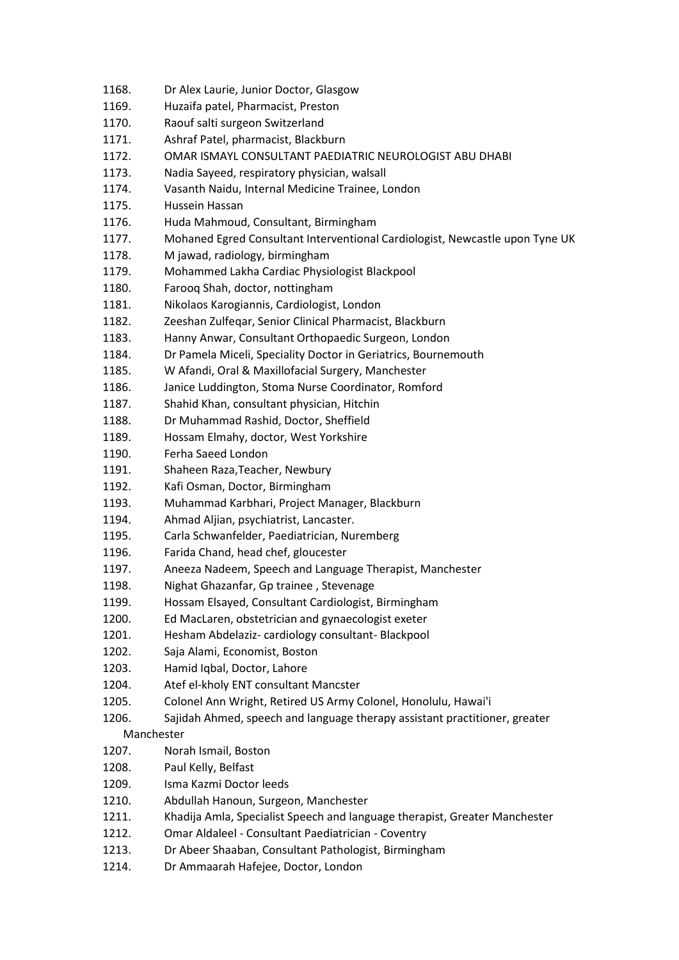- 1168. Dr Alex Laurie, Junior Doctor, Glasgow
- 1169. Huzaifa patel, Pharmacist, Preston
- 1170. Raouf salti surgeon Switzerland
- 1171. Ashraf Patel, pharmacist, Blackburn
- 1172. OMAR ISMAYL CONSULTANT PAEDIATRIC NEUROLOGIST ABU DHABI
- 1173. Nadia Sayeed, respiratory physician, walsall
- 1174. Vasanth Naidu, Internal Medicine Trainee, London
- 1175. Hussein Hassan
- 1176. Huda Mahmoud, Consultant, Birmingham
- 1177. Mohaned Egred Consultant Interventional Cardiologist, Newcastle upon Tyne UK
- 1178. M jawad, radiology, birmingham
- 1179. Mohammed Lakha Cardiac Physiologist Blackpool
- 1180. Farooq Shah, doctor, nottingham
- 1181. Nikolaos Karogiannis, Cardiologist, London
- 1182. Zeeshan Zulfeqar, Senior Clinical Pharmacist, Blackburn
- 1183. Hanny Anwar, Consultant Orthopaedic Surgeon, London
- 1184. Dr Pamela Miceli, Speciality Doctor in Geriatrics, Bournemouth
- 1185. W Afandi, Oral & Maxillofacial Surgery, Manchester
- 1186. Janice Luddington, Stoma Nurse Coordinator, Romford
- 1187. Shahid Khan, consultant physician, Hitchin
- 1188. Dr Muhammad Rashid, Doctor, Sheffield
- 1189. Hossam Elmahy, doctor, West Yorkshire
- 1190. Ferha Saeed London
- 1191. Shaheen Raza,Teacher, Newbury
- 1192. Kafi Osman, Doctor, Birmingham
- 1193. Muhammad Karbhari, Project Manager, Blackburn
- 1194. Ahmad Aljian, psychiatrist, Lancaster.
- 1195. Carla Schwanfelder, Paediatrician, Nuremberg
- 1196. Farida Chand, head chef, gloucester
- 1197. Aneeza Nadeem, Speech and Language Therapist, Manchester
- 1198. Nighat Ghazanfar, Gp trainee , Stevenage
- 1199. Hossam Elsayed, Consultant Cardiologist, Birmingham
- 1200. Ed MacLaren, obstetrician and gynaecologist exeter
- 1201. Hesham Abdelaziz- cardiology consultant- Blackpool
- 1202. Saja Alami, Economist, Boston
- 1203. Hamid Igbal, Doctor, Lahore
- 1204. Atef el-kholy ENT consultant Mancster
- 1205. Colonel Ann Wright, Retired US Army Colonel, Honolulu, Hawai'i
- 1206. Sajidah Ahmed, speech and language therapy assistant practitioner, greater

## Manchester

- 1207. Norah Ismail, Boston
- 1208. Paul Kelly, Belfast
- 1209. Isma Kazmi Doctor leeds
- 1210. Abdullah Hanoun, Surgeon, Manchester
- 1211. Khadija Amla, Specialist Speech and language therapist, Greater Manchester
- 1212. Omar Aldaleel Consultant Paediatrician Coventry
- 1213. Dr Abeer Shaaban, Consultant Pathologist, Birmingham
- 1214. Dr Ammaarah Hafejee, Doctor, London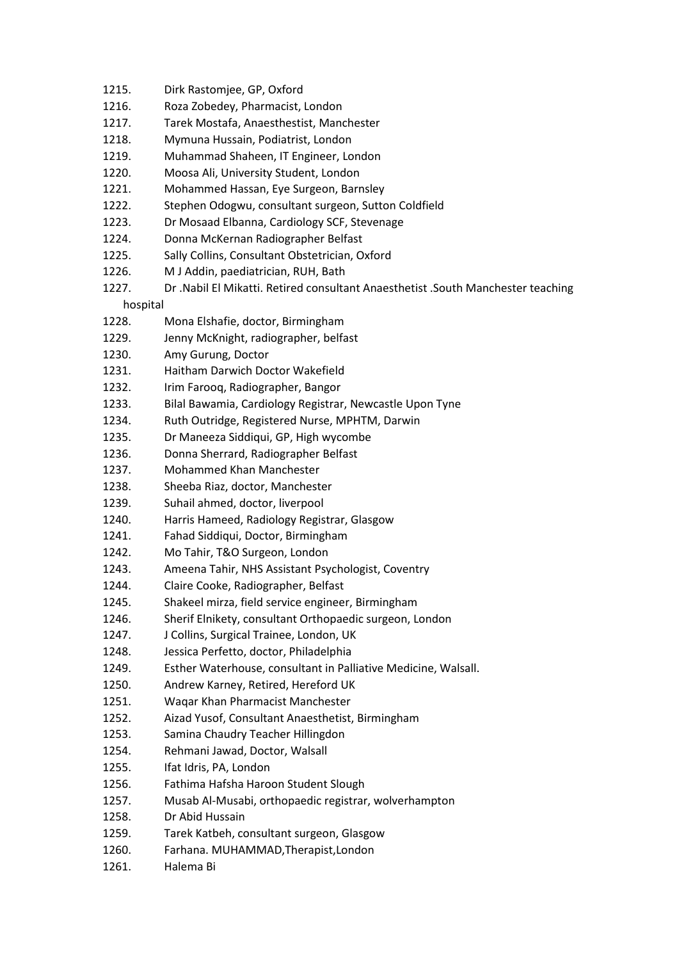- 1215. Dirk Rastomjee, GP, Oxford
- 1216. Roza Zobedey, Pharmacist, London
- 1217. Tarek Mostafa, Anaesthestist, Manchester
- 1218. Mymuna Hussain, Podiatrist, London
- 1219. Muhammad Shaheen, IT Engineer, London
- 1220. Moosa Ali, University Student, London
- 1221. Mohammed Hassan, Eye Surgeon, Barnsley
- 1222. Stephen Odogwu, consultant surgeon, Sutton Coldfield
- 1223. Dr Mosaad Elbanna, Cardiology SCF, Stevenage
- 1224. Donna McKernan Radiographer Belfast
- 1225. Sally Collins, Consultant Obstetrician, Oxford
- 1226. M J Addin, paediatrician, RUH, Bath
- 1227. Dr .Nabil El Mikatti. Retired consultant Anaesthetist .South Manchester teaching

hospital

- 1228. Mona Elshafie, doctor, Birmingham
- 1229. Jenny McKnight, radiographer, belfast
- 1230. Amy Gurung, Doctor
- 1231. Haitham Darwich Doctor Wakefield
- 1232. Irim Farooq, Radiographer, Bangor
- 1233. Bilal Bawamia, Cardiology Registrar, Newcastle Upon Tyne
- 1234. Ruth Outridge, Registered Nurse, MPHTM, Darwin
- 1235. Dr Maneeza Siddiqui, GP, High wycombe
- 1236. Donna Sherrard, Radiographer Belfast
- 1237. Mohammed Khan Manchester
- 1238. Sheeba Riaz, doctor, Manchester
- 1239. Suhail ahmed, doctor, liverpool
- 1240. Harris Hameed, Radiology Registrar, Glasgow
- 1241. Fahad Siddiqui, Doctor, Birmingham
- 1242. Mo Tahir, T&O Surgeon, London
- 1243. Ameena Tahir, NHS Assistant Psychologist, Coventry
- 1244. Claire Cooke, Radiographer, Belfast
- 1245. Shakeel mirza, field service engineer, Birmingham
- 1246. Sherif Elnikety, consultant Orthopaedic surgeon, London
- 1247. J Collins, Surgical Trainee, London, UK
- 1248. Jessica Perfetto, doctor, Philadelphia
- 1249. Esther Waterhouse, consultant in Palliative Medicine, Walsall.
- 1250. Andrew Karney, Retired, Hereford UK
- 1251. Waqar Khan Pharmacist Manchester
- 1252. Aizad Yusof, Consultant Anaesthetist, Birmingham
- 1253. Samina Chaudry Teacher Hillingdon
- 1254. Rehmani Jawad, Doctor, Walsall
- 1255. Ifat Idris, PA, London
- 1256. Fathima Hafsha Haroon Student Slough
- 1257. Musab Al-Musabi, orthopaedic registrar, wolverhampton
- 1258. Dr Abid Hussain
- 1259. Tarek Katbeh, consultant surgeon, Glasgow
- 1260. Farhana. MUHAMMAD,Therapist,London
- 1261. Halema Bi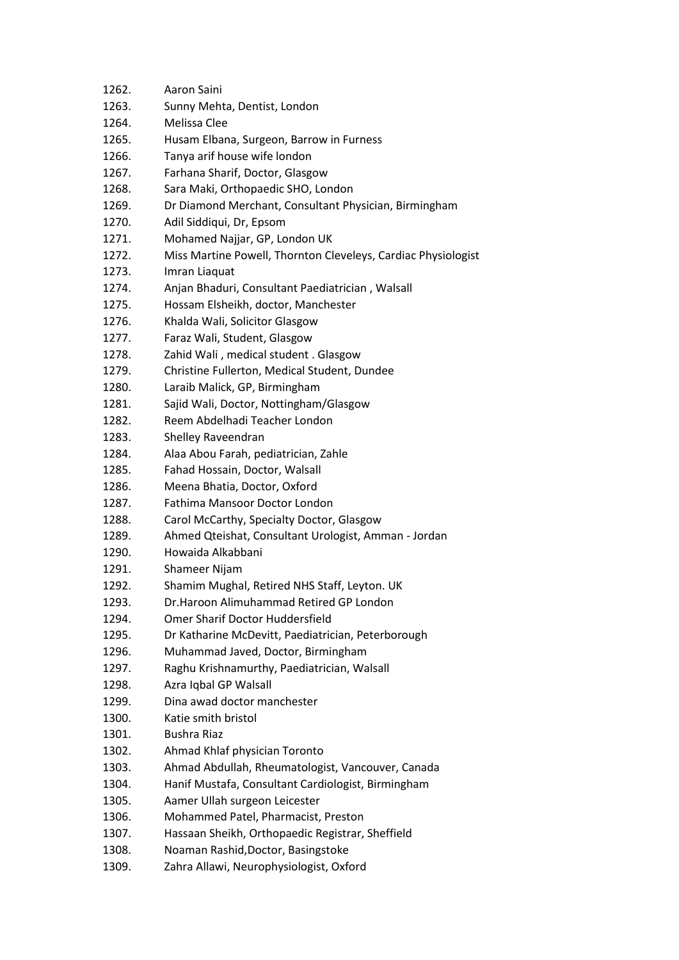| 1262. | Aaron Saini                                                   |
|-------|---------------------------------------------------------------|
| 1263. | Sunny Mehta, Dentist, London                                  |
| 1264. | Melissa Clee                                                  |
| 1265. | Husam Elbana, Surgeon, Barrow in Furness                      |
| 1266. | Tanya arif house wife london                                  |
| 1267. | Farhana Sharif, Doctor, Glasgow                               |
| 1268. | Sara Maki, Orthopaedic SHO, London                            |
| 1269. | Dr Diamond Merchant, Consultant Physician, Birmingham         |
| 1270. | Adil Siddiqui, Dr, Epsom                                      |
| 1271. | Mohamed Najjar, GP, London UK                                 |
| 1272. | Miss Martine Powell, Thornton Cleveleys, Cardiac Physiologist |
| 1273. | Imran Liaquat                                                 |
| 1274. | Anjan Bhaduri, Consultant Paediatrician, Walsall              |
| 1275. | Hossam Elsheikh, doctor, Manchester                           |
| 1276. | Khalda Wali, Solicitor Glasgow                                |
| 1277. | Faraz Wali, Student, Glasgow                                  |
| 1278. | Zahid Wali, medical student. Glasgow                          |
| 1279. | Christine Fullerton, Medical Student, Dundee                  |
| 1280. | Laraib Malick, GP, Birmingham                                 |
| 1281. |                                                               |
|       | Sajid Wali, Doctor, Nottingham/Glasgow                        |
| 1282. | Reem Abdelhadi Teacher London                                 |
| 1283. | Shelley Raveendran                                            |
| 1284. | Alaa Abou Farah, pediatrician, Zahle                          |
| 1285. | Fahad Hossain, Doctor, Walsall                                |
| 1286. | Meena Bhatia, Doctor, Oxford                                  |
| 1287. | Fathima Mansoor Doctor London                                 |
| 1288. | Carol McCarthy, Specialty Doctor, Glasgow                     |
| 1289. | Ahmed Qteishat, Consultant Urologist, Amman - Jordan          |
| 1290. | Howaida Alkabbani                                             |
| 1291. | Shameer Nijam                                                 |
| 1292. | Shamim Mughal, Retired NHS Staff, Leyton. UK                  |
| 1293. | Dr.Haroon Alimuhammad Retired GP London                       |
| 1294. | <b>Omer Sharif Doctor Huddersfield</b>                        |
| 1295. | Dr Katharine McDevitt, Paediatrician, Peterborough            |
| 1296. | Muhammad Javed, Doctor, Birmingham                            |
| 1297. | Raghu Krishnamurthy, Paediatrician, Walsall                   |
| 1298. | Azra Iqbal GP Walsall                                         |
| 1299. | Dina awad doctor manchester                                   |
| 1300. | Katie smith bristol                                           |
| 1301. | Bushra Riaz                                                   |
| 1302. | Ahmad Khlaf physician Toronto                                 |
| 1303. | Ahmad Abdullah, Rheumatologist, Vancouver, Canada             |
| 1304. | Hanif Mustafa, Consultant Cardiologist, Birmingham            |
| 1305. | Aamer Ullah surgeon Leicester                                 |
| 1306. | Mohammed Patel, Pharmacist, Preston                           |
| 1307. | Hassaan Sheikh, Orthopaedic Registrar, Sheffield              |
| 1308. | Noaman Rashid, Doctor, Basingstoke                            |
| 1309. | Zahra Allawi, Neurophysiologist, Oxford                       |
|       |                                                               |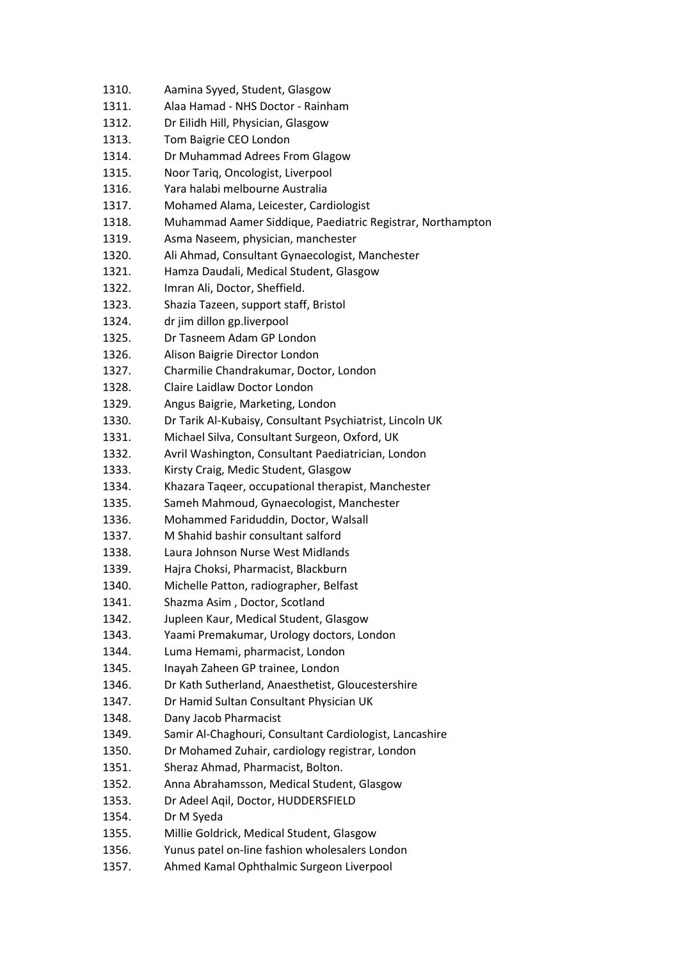1310. Aamina Syyed, Student, Glasgow 1311. Alaa Hamad - NHS Doctor - Rainham 1312. Dr Eilidh Hill, Physician, Glasgow 1313. Tom Baigrie CEO London 1314. Dr Muhammad Adrees From Glagow 1315. Noor Tariq, Oncologist, Liverpool 1316. Yara halabi melbourne Australia 1317. Mohamed Alama, Leicester, Cardiologist 1318. Muhammad Aamer Siddique, Paediatric Registrar, Northampton 1319. Asma Naseem, physician, manchester 1320. Ali Ahmad, Consultant Gynaecologist, Manchester 1321. Hamza Daudali, Medical Student, Glasgow 1322. Imran Ali, Doctor, Sheffield. 1323. Shazia Tazeen, support staff, Bristol 1324. dr jim dillon gp.liverpool 1325. Dr Tasneem Adam GP London 1326. Alison Baigrie Director London 1327. Charmilie Chandrakumar, Doctor, London 1328. Claire Laidlaw Doctor London 1329. Angus Baigrie, Marketing, London 1330. Dr Tarik Al-Kubaisy, Consultant Psychiatrist, Lincoln UK 1331. Michael Silva, Consultant Surgeon, Oxford, UK 1332. Avril Washington, Consultant Paediatrician, London 1333. Kirsty Craig, Medic Student, Glasgow 1334. Khazara Taqeer, occupational therapist, Manchester 1335. Sameh Mahmoud, Gynaecologist, Manchester 1336. Mohammed Fariduddin, Doctor, Walsall 1337. M Shahid bashir consultant salford 1338. Laura Johnson Nurse West Midlands 1339. Hajra Choksi, Pharmacist, Blackburn 1340. Michelle Patton, radiographer, Belfast 1341. Shazma Asim , Doctor, Scotland 1342. Jupleen Kaur, Medical Student, Glasgow 1343. Yaami Premakumar, Urology doctors, London 1344. Luma Hemami, pharmacist, London 1345. Inayah Zaheen GP trainee, London 1346. Dr Kath Sutherland, Anaesthetist, Gloucestershire 1347. Dr Hamid Sultan Consultant Physician UK 1348. Dany Jacob Pharmacist 1349. Samir Al-Chaghouri, Consultant Cardiologist, Lancashire 1350. Dr Mohamed Zuhair, cardiology registrar, London 1351. Sheraz Ahmad, Pharmacist, Bolton. 1352. Anna Abrahamsson, Medical Student, Glasgow 1353. Dr Adeel Aqil, Doctor, HUDDERSFIELD 1354. Dr M Syeda 1355. Millie Goldrick, Medical Student, Glasgow 1356. Yunus patel on-line fashion wholesalers London 1357. Ahmed Kamal Ophthalmic Surgeon Liverpool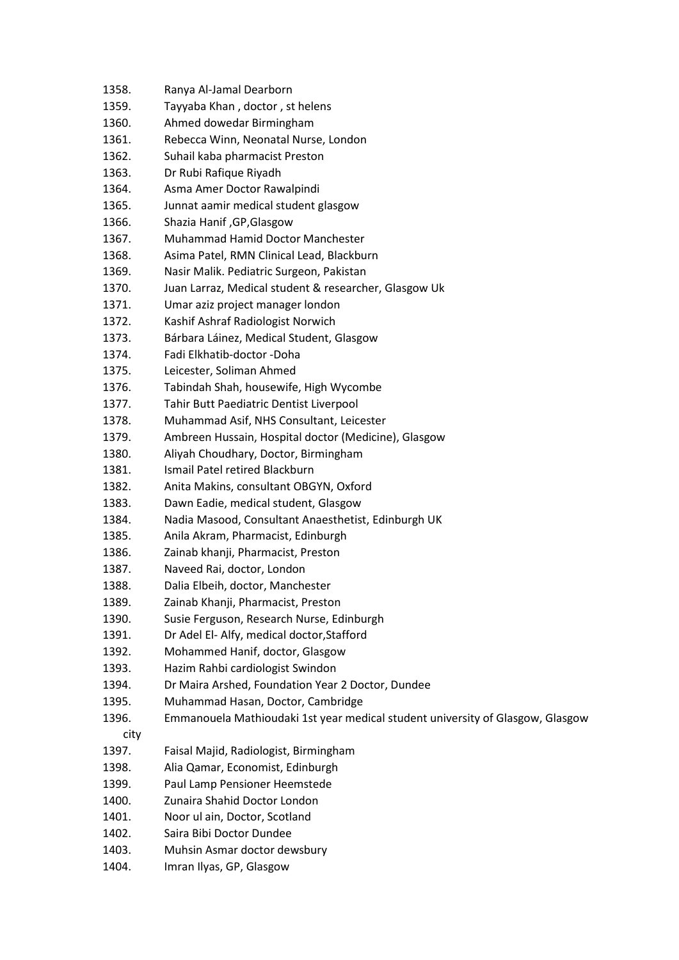| 1358. | Ranya Al-Jamal Dearborn                                                        |
|-------|--------------------------------------------------------------------------------|
| 1359. | Tayyaba Khan, doctor, st helens                                                |
| 1360. | Ahmed dowedar Birmingham                                                       |
| 1361. | Rebecca Winn, Neonatal Nurse, London                                           |
| 1362. | Suhail kaba pharmacist Preston                                                 |
| 1363. | Dr Rubi Rafique Riyadh                                                         |
| 1364. | Asma Amer Doctor Rawalpindi                                                    |
| 1365. | Junnat aamir medical student glasgow                                           |
| 1366. | Shazia Hanif, GP, Glasgow                                                      |
| 1367. | Muhammad Hamid Doctor Manchester                                               |
| 1368. | Asima Patel, RMN Clinical Lead, Blackburn                                      |
| 1369. | Nasir Malik. Pediatric Surgeon, Pakistan                                       |
| 1370. | Juan Larraz, Medical student & researcher, Glasgow Uk                          |
| 1371. | Umar aziz project manager london                                               |
| 1372. | Kashif Ashraf Radiologist Norwich                                              |
| 1373. | Bárbara Láinez, Medical Student, Glasgow                                       |
| 1374. | Fadi Elkhatib-doctor -Doha                                                     |
| 1375. | Leicester, Soliman Ahmed                                                       |
| 1376. | Tabindah Shah, housewife, High Wycombe                                         |
| 1377. | Tahir Butt Paediatric Dentist Liverpool                                        |
| 1378. | Muhammad Asif, NHS Consultant, Leicester                                       |
|       |                                                                                |
| 1379. | Ambreen Hussain, Hospital doctor (Medicine), Glasgow                           |
| 1380. | Aliyah Choudhary, Doctor, Birmingham                                           |
| 1381. | Ismail Patel retired Blackburn                                                 |
| 1382. | Anita Makins, consultant OBGYN, Oxford                                         |
| 1383. | Dawn Eadie, medical student, Glasgow                                           |
| 1384. | Nadia Masood, Consultant Anaesthetist, Edinburgh UK                            |
| 1385. | Anila Akram, Pharmacist, Edinburgh                                             |
| 1386. | Zainab khanji, Pharmacist, Preston                                             |
| 1387. | Naveed Rai, doctor, London                                                     |
| 1388. | Dalia Elbeih, doctor, Manchester                                               |
| 1389. | Zainab Khanji, Pharmacist, Preston                                             |
| 1390. | Susie Ferguson, Research Nurse, Edinburgh                                      |
| 1391. | Dr Adel El- Alfy, medical doctor, Stafford                                     |
| 1392. | Mohammed Hanif, doctor, Glasgow                                                |
| 1393. | Hazim Rahbi cardiologist Swindon                                               |
| 1394. | Dr Maira Arshed, Foundation Year 2 Doctor, Dundee                              |
| 1395. | Muhammad Hasan, Doctor, Cambridge                                              |
| 1396. | Emmanouela Mathioudaki 1st year medical student university of Glasgow, Glasgow |
| city  |                                                                                |
| 1397. | Faisal Majid, Radiologist, Birmingham                                          |
| 1398. | Alia Qamar, Economist, Edinburgh                                               |
| 1399. | Paul Lamp Pensioner Heemstede                                                  |
| 1400. | Zunaira Shahid Doctor London                                                   |
| 1401. | Noor ul ain, Doctor, Scotland                                                  |
| 1402. | Saira Bibi Doctor Dundee                                                       |
| 1403. | Muhsin Asmar doctor dewsbury                                                   |
| 1404. | Imran Ilyas, GP, Glasgow                                                       |
|       |                                                                                |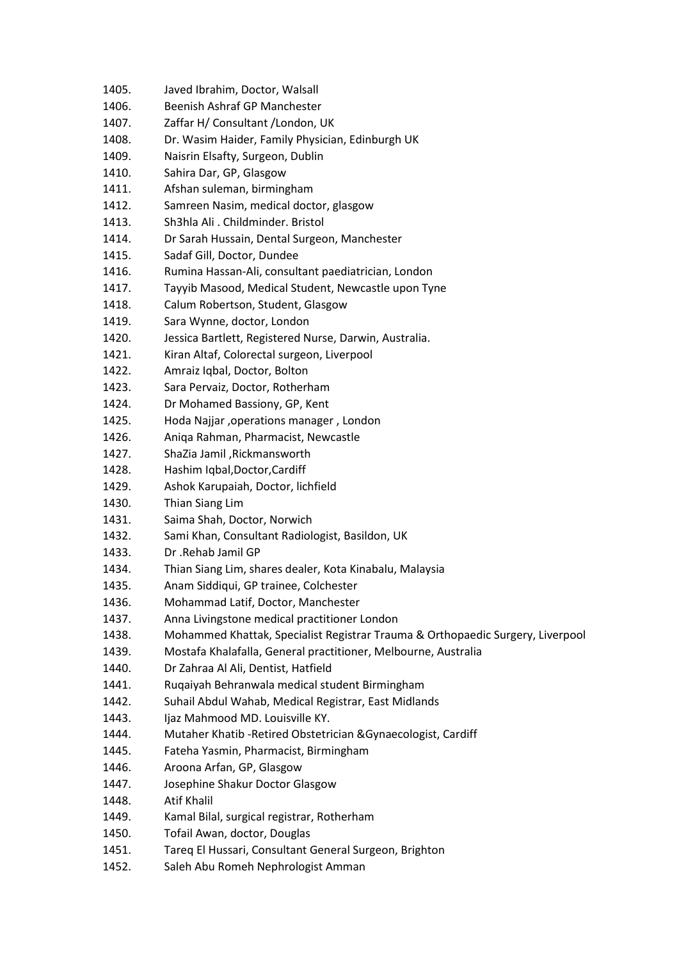1405. Javed Ibrahim, Doctor, Walsall 1406. Beenish Ashraf GP Manchester 1407. Zaffar H/ Consultant /London, UK 1408. Dr. Wasim Haider, Family Physician, Edinburgh UK 1409. Naisrin Elsafty, Surgeon, Dublin 1410. Sahira Dar, GP, Glasgow 1411. Afshan suleman, birmingham 1412. Samreen Nasim, medical doctor, glasgow 1413. Sh3hla Ali . Childminder. Bristol 1414. Dr Sarah Hussain, Dental Surgeon, Manchester 1415. Sadaf Gill, Doctor, Dundee 1416. Rumina Hassan-Ali, consultant paediatrician, London 1417. Tayyib Masood, Medical Student, Newcastle upon Tyne 1418. Calum Robertson, Student, Glasgow 1419. Sara Wynne, doctor, London 1420. Jessica Bartlett, Registered Nurse, Darwin, Australia. 1421. Kiran Altaf, Colorectal surgeon, Liverpool 1422. Amraiz Iqbal, Doctor, Bolton 1423. Sara Pervaiz, Doctor, Rotherham 1424. Dr Mohamed Bassiony, GP, Kent 1425. Hoda Najjar ,operations manager , London 1426. Aniqa Rahman, Pharmacist, Newcastle 1427. ShaZia Jamil ,Rickmansworth 1428. Hashim Iqbal,Doctor,Cardiff 1429. Ashok Karupaiah, Doctor, lichfield 1430. Thian Siang Lim 1431. Saima Shah, Doctor, Norwich 1432. Sami Khan, Consultant Radiologist, Basildon, UK 1433. Dr .Rehab Jamil GP 1434. Thian Siang Lim, shares dealer, Kota Kinabalu, Malaysia 1435. Anam Siddiqui, GP trainee, Colchester 1436. Mohammad Latif, Doctor, Manchester 1437. Anna Livingstone medical practitioner London 1438. Mohammed Khattak, Specialist Registrar Trauma & Orthopaedic Surgery, Liverpool 1439. Mostafa Khalafalla, General practitioner, Melbourne, Australia 1440. Dr Zahraa Al Ali, Dentist, Hatfield 1441. Ruqaiyah Behranwala medical student Birmingham 1442. Suhail Abdul Wahab, Medical Registrar, East Midlands 1443. Ijaz Mahmood MD. Louisville KY. 1444. Mutaher Khatib -Retired Obstetrician &Gynaecologist, Cardiff 1445. Fateha Yasmin, Pharmacist, Birmingham 1446. Aroona Arfan, GP, Glasgow 1447. Josephine Shakur Doctor Glasgow 1448. Atif Khalil 1449. Kamal Bilal, surgical registrar, Rotherham 1450. Tofail Awan, doctor, Douglas 1451. Tareq El Hussari, Consultant General Surgeon, Brighton 1452. Saleh Abu Romeh Nephrologist Amman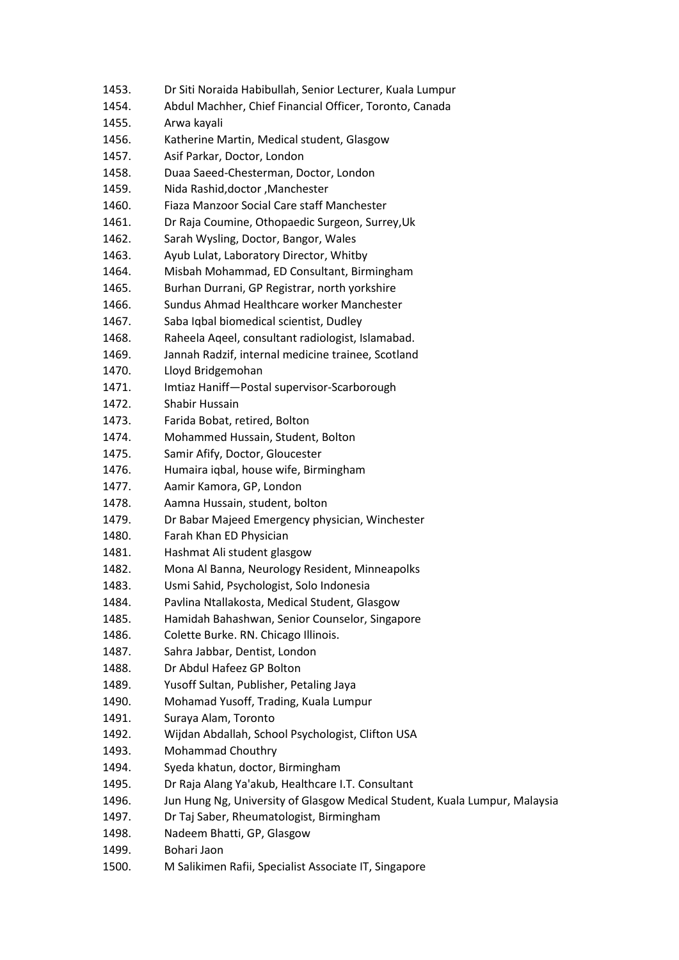1453. Dr Siti Noraida Habibullah, Senior Lecturer, Kuala Lumpur 1454. Abdul Machher, Chief Financial Officer, Toronto, Canada 1455. Arwa kayali 1456. Katherine Martin, Medical student, Glasgow 1457. Asif Parkar, Doctor, London 1458. Duaa Saeed-Chesterman, Doctor, London 1459. Nida Rashid,doctor ,Manchester 1460. Fiaza Manzoor Social Care staff Manchester 1461. Dr Raja Coumine, Othopaedic Surgeon, Surrey,Uk 1462. Sarah Wysling, Doctor, Bangor, Wales 1463. Ayub Lulat, Laboratory Director, Whitby 1464. Misbah Mohammad, ED Consultant, Birmingham 1465. Burhan Durrani, GP Registrar, north yorkshire 1466. Sundus Ahmad Healthcare worker Manchester 1467. Saba Iqbal biomedical scientist, Dudley 1468. Raheela Aqeel, consultant radiologist, Islamabad. 1469. Jannah Radzif, internal medicine trainee, Scotland 1470. Lloyd Bridgemohan 1471. Imtiaz Haniff—Postal supervisor-Scarborough 1472. Shabir Hussain 1473. Farida Bobat, retired, Bolton 1474. Mohammed Hussain, Student, Bolton 1475. Samir Afify, Doctor, Gloucester 1476. Humaira iqbal, house wife, Birmingham 1477. Aamir Kamora, GP, London 1478. Aamna Hussain, student, bolton 1479. Dr Babar Majeed Emergency physician, Winchester 1480. Farah Khan ED Physician 1481. Hashmat Ali student glasgow 1482. Mona Al Banna, Neurology Resident, Minneapolks 1483. Usmi Sahid, Psychologist, Solo Indonesia 1484. Pavlina Ntallakosta, Medical Student, Glasgow 1485. Hamidah Bahashwan, Senior Counselor, Singapore 1486. Colette Burke. RN. Chicago Illinois. 1487. Sahra Jabbar, Dentist, London 1488. Dr Abdul Hafeez GP Bolton 1489. Yusoff Sultan, Publisher, Petaling Jaya 1490. Mohamad Yusoff, Trading, Kuala Lumpur 1491. Suraya Alam, Toronto 1492. Wijdan Abdallah, School Psychologist, Clifton USA 1493. Mohammad Chouthry 1494. Syeda khatun, doctor, Birmingham 1495. Dr Raja Alang Ya'akub, Healthcare I.T. Consultant 1496. Jun Hung Ng, University of Glasgow Medical Student, Kuala Lumpur, Malaysia 1497. Dr Taj Saber, Rheumatologist, Birmingham 1498. Nadeem Bhatti, GP, Glasgow 1499. Bohari Jaon 1500. M Salikimen Rafii, Specialist Associate IT, Singapore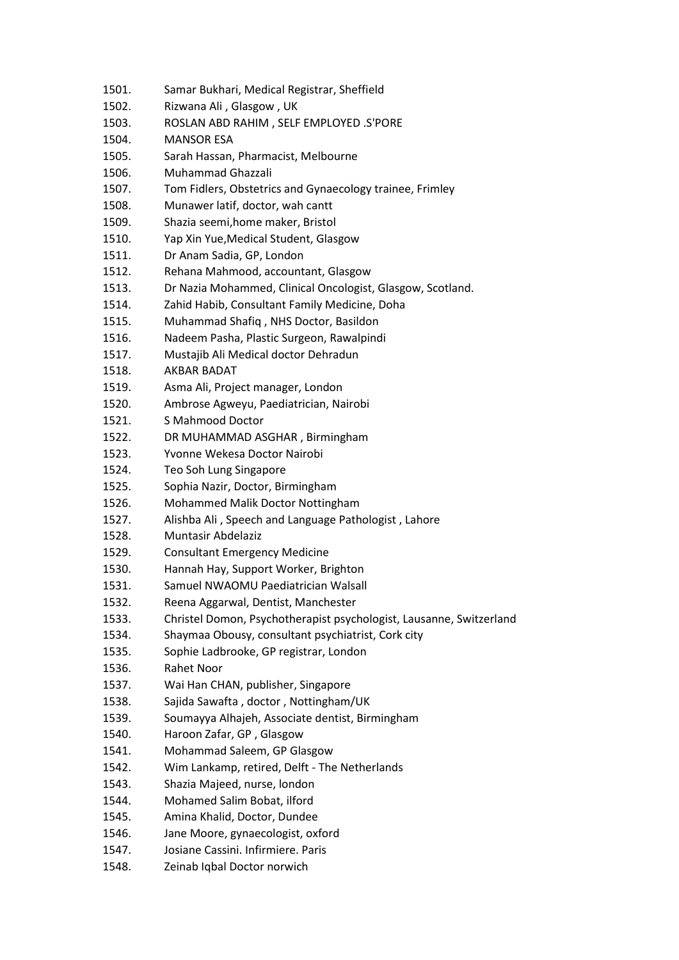| 1501. | Samar Bukhari, Medical Registrar, Sheffield                         |
|-------|---------------------------------------------------------------------|
| 1502. | Rizwana Ali, Glasgow, UK                                            |
| 1503. | ROSLAN ABD RAHIM, SELF EMPLOYED .S'PORE                             |
| 1504. | <b>MANSOR ESA</b>                                                   |
| 1505. | Sarah Hassan, Pharmacist, Melbourne                                 |
| 1506. | Muhammad Ghazzali                                                   |
| 1507. | Tom Fidlers, Obstetrics and Gynaecology trainee, Frimley            |
| 1508. | Munawer latif, doctor, wah cantt                                    |
| 1509. | Shazia seemi, home maker, Bristol                                   |
| 1510. | Yap Xin Yue, Medical Student, Glasgow                               |
| 1511. | Dr Anam Sadia, GP, London                                           |
| 1512. | Rehana Mahmood, accountant, Glasgow                                 |
| 1513. | Dr Nazia Mohammed, Clinical Oncologist, Glasgow, Scotland.          |
| 1514. | Zahid Habib, Consultant Family Medicine, Doha                       |
| 1515. | Muhammad Shafiq, NHS Doctor, Basildon                               |
| 1516. | Nadeem Pasha, Plastic Surgeon, Rawalpindi                           |
| 1517. | Mustajib Ali Medical doctor Dehradun                                |
| 1518. | AKBAR BADAT                                                         |
| 1519. | Asma Ali, Project manager, London                                   |
| 1520. | Ambrose Agweyu, Paediatrician, Nairobi                              |
| 1521. | S Mahmood Doctor                                                    |
| 1522. | DR MUHAMMAD ASGHAR, Birmingham                                      |
| 1523. | Yvonne Wekesa Doctor Nairobi                                        |
| 1524. | Teo Soh Lung Singapore                                              |
| 1525. | Sophia Nazir, Doctor, Birmingham                                    |
| 1526. | Mohammed Malik Doctor Nottingham                                    |
| 1527. | Alishba Ali, Speech and Language Pathologist, Lahore                |
| 1528. | Muntasir Abdelaziz                                                  |
| 1529. | <b>Consultant Emergency Medicine</b>                                |
| 1530. | Hannah Hay, Support Worker, Brighton                                |
| 1531. | Samuel NWAOMU Paediatrician Walsall                                 |
| 1532. | Reena Aggarwal, Dentist, Manchester                                 |
| 1533. | Christel Domon, Psychotherapist psychologist, Lausanne, Switzerland |
| 1534. | Shaymaa Obousy, consultant psychiatrist, Cork city                  |
| 1535. | Sophie Ladbrooke, GP registrar, London                              |
| 1536. | Rahet Noor                                                          |
| 1537. | Wai Han CHAN, publisher, Singapore                                  |
| 1538. | Sajida Sawafta, doctor, Nottingham/UK                               |
| 1539. | Soumayya Alhajeh, Associate dentist, Birmingham                     |
| 1540. | Haroon Zafar, GP, Glasgow                                           |
| 1541. | Mohammad Saleem, GP Glasgow                                         |
| 1542. | Wim Lankamp, retired, Delft - The Netherlands                       |
| 1543. | Shazia Majeed, nurse, london                                        |
| 1544. | Mohamed Salim Bobat, ilford                                         |
| 1545. | Amina Khalid, Doctor, Dundee                                        |
| 1546. | Jane Moore, gynaecologist, oxford                                   |
| 1547. | Josiane Cassini. Infirmiere. Paris                                  |
| 1548. | Zeinab Iqbal Doctor norwich                                         |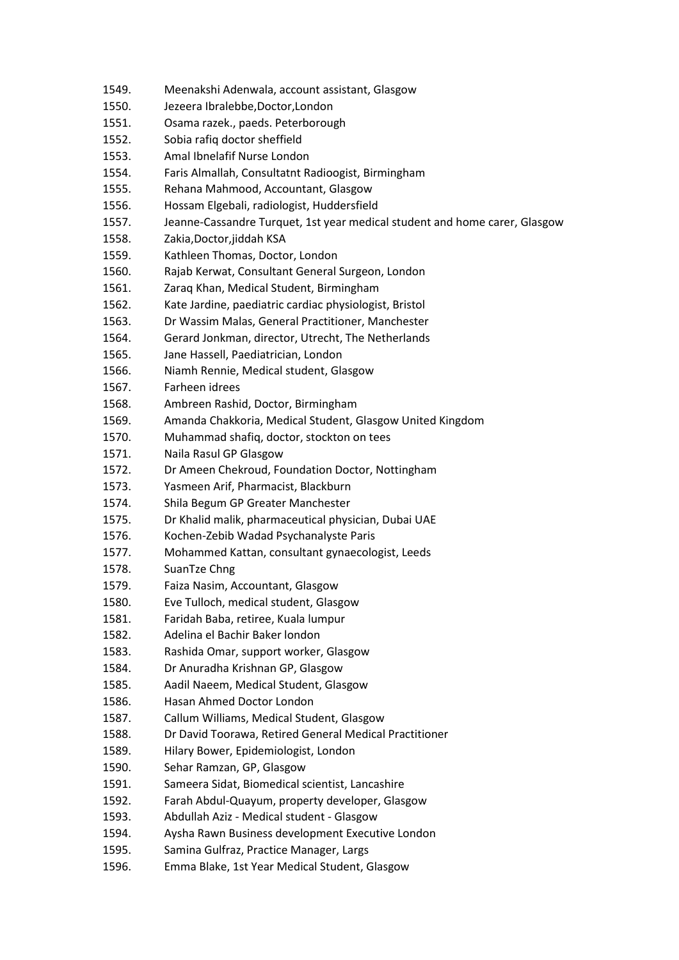- 1549. Meenakshi Adenwala, account assistant, Glasgow
- 1550. Jezeera Ibralebbe,Doctor,London
- 1551. Osama razek., paeds. Peterborough
- 1552. Sobia rafiq doctor sheffield
- 1553. Amal Ibnelafif Nurse London
- 1554. Faris Almallah, Consultatnt Radioogist, Birmingham
- 1555. Rehana Mahmood, Accountant, Glasgow
- 1556. Hossam Elgebali, radiologist, Huddersfield
- 1557. Jeanne-Cassandre Turquet, 1st year medical student and home carer, Glasgow
- 1558. Zakia,Doctor,jiddah KSA
- 1559. Kathleen Thomas, Doctor, London
- 1560. Rajab Kerwat, Consultant General Surgeon, London
- 1561. Zaraq Khan, Medical Student, Birmingham
- 1562. Kate Jardine, paediatric cardiac physiologist, Bristol
- 1563. Dr Wassim Malas, General Practitioner, Manchester
- 1564. Gerard Jonkman, director, Utrecht, The Netherlands
- 1565. Jane Hassell, Paediatrician, London
- 1566. Niamh Rennie, Medical student, Glasgow
- 1567. Farheen idrees
- 1568. Ambreen Rashid, Doctor, Birmingham
- 1569. Amanda Chakkoria, Medical Student, Glasgow United Kingdom
- 1570. Muhammad shafiq, doctor, stockton on tees
- 1571. Naila Rasul GP Glasgow
- 1572. Dr Ameen Chekroud, Foundation Doctor, Nottingham
- 1573. Yasmeen Arif, Pharmacist, Blackburn
- 1574. Shila Begum GP Greater Manchester
- 1575. Dr Khalid malik, pharmaceutical physician, Dubai UAE
- 1576. Kochen-Zebib Wadad Psychanalyste Paris
- 1577. Mohammed Kattan, consultant gynaecologist, Leeds
- 1578. SuanTze Chng
- 1579. Faiza Nasim, Accountant, Glasgow
- 1580. Eve Tulloch, medical student, Glasgow
- 1581. Faridah Baba, retiree, Kuala lumpur
- 1582. Adelina el Bachir Baker london
- 1583. Rashida Omar, support worker, Glasgow
- 1584. Dr Anuradha Krishnan GP, Glasgow
- 1585. Aadil Naeem, Medical Student, Glasgow
- 1586. Hasan Ahmed Doctor London
- 1587. Callum Williams, Medical Student, Glasgow
- 1588. Dr David Toorawa, Retired General Medical Practitioner
- 1589. Hilary Bower, Epidemiologist, London
- 1590. Sehar Ramzan, GP, Glasgow
- 1591. Sameera Sidat, Biomedical scientist, Lancashire
- 1592. Farah Abdul-Quayum, property developer, Glasgow
- 1593. Abdullah Aziz Medical student Glasgow
- 1594. Aysha Rawn Business development Executive London
- 1595. Samina Gulfraz, Practice Manager, Largs
- 1596. Emma Blake, 1st Year Medical Student, Glasgow